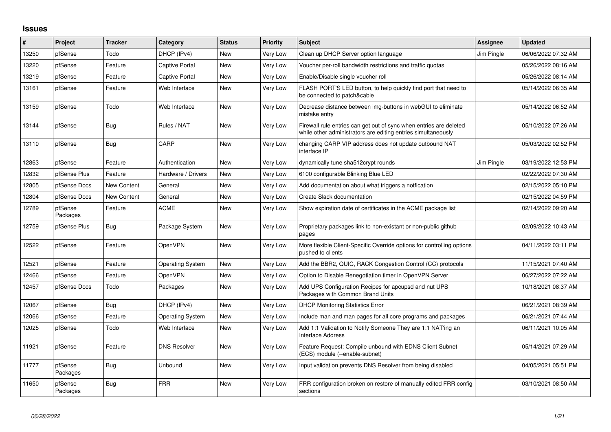## **Issues**

| #     | Project             | Tracker            | Category                | <b>Status</b> | <b>Priority</b> | <b>Subject</b>                                                                                                                      | Assignee   | <b>Updated</b>      |
|-------|---------------------|--------------------|-------------------------|---------------|-----------------|-------------------------------------------------------------------------------------------------------------------------------------|------------|---------------------|
| 13250 | pfSense             | Todo               | DHCP (IPv4)             | <b>New</b>    | Very Low        | Clean up DHCP Server option language                                                                                                | Jim Pingle | 06/06/2022 07:32 AM |
| 13220 | pfSense             | Feature            | <b>Captive Portal</b>   | <b>New</b>    | Very Low        | Voucher per-roll bandwidth restrictions and traffic quotas                                                                          |            | 05/26/2022 08:16 AM |
| 13219 | pfSense             | Feature            | <b>Captive Portal</b>   | New           | Very Low        | Enable/Disable single voucher roll                                                                                                  |            | 05/26/2022 08:14 AM |
| 13161 | pfSense             | Feature            | Web Interface           | New           | Very Low        | FLASH PORT'S LED button, to help quickly find port that need to<br>be connected to patch&cable                                      |            | 05/14/2022 06:35 AM |
| 13159 | pfSense             | Todo               | Web Interface           | <b>New</b>    | Very Low        | Decrease distance between img-buttons in webGUI to eliminate<br>mistake entry                                                       |            | 05/14/2022 06:52 AM |
| 13144 | pfSense             | Bug                | Rules / NAT             | New           | Very Low        | Firewall rule entries can get out of sync when entries are deleted<br>while other administrators are editing entries simultaneously |            | 05/10/2022 07:26 AM |
| 13110 | pfSense             | <b>Bug</b>         | CARP                    | <b>New</b>    | Very Low        | changing CARP VIP address does not update outbound NAT<br>interface IP                                                              |            | 05/03/2022 02:52 PM |
| 12863 | pfSense             | Feature            | Authentication          | <b>New</b>    | Very Low        | dynamically tune sha512crypt rounds                                                                                                 | Jim Pingle | 03/19/2022 12:53 PM |
| 12832 | pfSense Plus        | Feature            | Hardware / Drivers      | <b>New</b>    | Very Low        | 6100 configurable Blinking Blue LED                                                                                                 |            | 02/22/2022 07:30 AM |
| 12805 | pfSense Docs        | <b>New Content</b> | General                 | <b>New</b>    | Very Low        | Add documentation about what triggers a notfication                                                                                 |            | 02/15/2022 05:10 PM |
| 12804 | pfSense Docs        | New Content        | General                 | New           | Very Low        | Create Slack documentation                                                                                                          |            | 02/15/2022 04:59 PM |
| 12789 | pfSense<br>Packages | Feature            | <b>ACME</b>             | <b>New</b>    | Very Low        | Show expiration date of certificates in the ACME package list                                                                       |            | 02/14/2022 09:20 AM |
| 12759 | pfSense Plus        | Bug                | Package System          | New           | Very Low        | Proprietary packages link to non-existant or non-public github<br>pages                                                             |            | 02/09/2022 10:43 AM |
| 12522 | pfSense             | Feature            | <b>OpenVPN</b>          | New           | Very Low        | More flexible Client-Specific Override options for controlling options<br>pushed to clients                                         |            | 04/11/2022 03:11 PM |
| 12521 | pfSense             | Feature            | <b>Operating System</b> | New           | Very Low        | Add the BBR2, QUIC, RACK Congestion Control (CC) protocols                                                                          |            | 11/15/2021 07:40 AM |
| 12466 | pfSense             | Feature            | OpenVPN                 | <b>New</b>    | Very Low        | Option to Disable Renegotiation timer in OpenVPN Server                                                                             |            | 06/27/2022 07:22 AM |
| 12457 | pfSense Docs        | Todo               | Packages                | New           | Very Low        | Add UPS Configuration Recipes for apcupsd and nut UPS<br>Packages with Common Brand Units                                           |            | 10/18/2021 08:37 AM |
| 12067 | pfSense             | Bug                | DHCP (IPv4)             | <b>New</b>    | Very Low        | <b>DHCP Monitoring Statistics Error</b>                                                                                             |            | 06/21/2021 08:39 AM |
| 12066 | pfSense             | Feature            | <b>Operating System</b> | <b>New</b>    | Very Low        | Include man and man pages for all core programs and packages                                                                        |            | 06/21/2021 07:44 AM |
| 12025 | pfSense             | Todo               | Web Interface           | <b>New</b>    | Very Low        | Add 1:1 Validation to Notify Someone They are 1:1 NAT'ing an<br><b>Interface Address</b>                                            |            | 06/11/2021 10:05 AM |
| 11921 | pfSense             | Feature            | <b>DNS Resolver</b>     | <b>New</b>    | Very Low        | Feature Request: Compile unbound with EDNS Client Subnet<br>(ECS) module (--enable-subnet)                                          |            | 05/14/2021 07:29 AM |
| 11777 | pfSense<br>Packages | Bug                | Unbound                 | New           | Very Low        | Input validation prevents DNS Resolver from being disabled                                                                          |            | 04/05/2021 05:51 PM |
| 11650 | pfSense<br>Packages | Bug                | <b>FRR</b>              | <b>New</b>    | Very Low        | FRR configuration broken on restore of manually edited FRR config<br>sections                                                       |            | 03/10/2021 08:50 AM |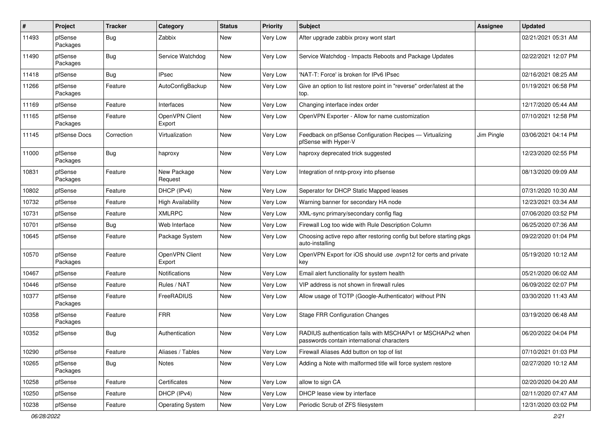| #     | Project             | <b>Tracker</b> | Category                 | <b>Status</b> | <b>Priority</b> | Subject                                                                                                  | <b>Assignee</b> | <b>Updated</b>      |
|-------|---------------------|----------------|--------------------------|---------------|-----------------|----------------------------------------------------------------------------------------------------------|-----------------|---------------------|
| 11493 | pfSense<br>Packages | Bug            | Zabbix                   | New           | <b>Very Low</b> | After upgrade zabbix proxy wont start                                                                    |                 | 02/21/2021 05:31 AM |
| 11490 | pfSense<br>Packages | Bug            | Service Watchdog         | New           | Very Low        | Service Watchdog - Impacts Reboots and Package Updates                                                   |                 | 02/22/2021 12:07 PM |
| 11418 | pfSense             | <b>Bug</b>     | <b>IPsec</b>             | New           | Very Low        | 'NAT-T: Force' is broken for IPv6 IPsec                                                                  |                 | 02/16/2021 08:25 AM |
| 11266 | pfSense<br>Packages | Feature        | AutoConfigBackup         | New           | Very Low        | Give an option to list restore point in "reverse" order/latest at the<br>top.                            |                 | 01/19/2021 06:58 PM |
| 11169 | pfSense             | Feature        | Interfaces               | <b>New</b>    | Very Low        | Changing interface index order                                                                           |                 | 12/17/2020 05:44 AM |
| 11165 | pfSense<br>Packages | Feature        | OpenVPN Client<br>Export | New           | Very Low        | OpenVPN Exporter - Allow for name customization                                                          |                 | 07/10/2021 12:58 PM |
| 11145 | pfSense Docs        | Correction     | Virtualization           | New           | Very Low        | Feedback on pfSense Configuration Recipes - Virtualizing<br>pfSense with Hyper-V                         | Jim Pingle      | 03/06/2021 04:14 PM |
| 11000 | pfSense<br>Packages | Bug            | haproxy                  | <b>New</b>    | Very Low        | haproxy deprecated trick suggested                                                                       |                 | 12/23/2020 02:55 PM |
| 10831 | pfSense<br>Packages | Feature        | New Package<br>Request   | <b>New</b>    | Very Low        | Integration of nntp-proxy into pfsense                                                                   |                 | 08/13/2020 09:09 AM |
| 10802 | pfSense             | Feature        | DHCP (IPv4)              | <b>New</b>    | Very Low        | Seperator for DHCP Static Mapped leases                                                                  |                 | 07/31/2020 10:30 AM |
| 10732 | pfSense             | Feature        | <b>High Availability</b> | New           | Very Low        | Warning banner for secondary HA node                                                                     |                 | 12/23/2021 03:34 AM |
| 10731 | pfSense             | Feature        | <b>XMLRPC</b>            | <b>New</b>    | Very Low        | XML-sync primary/secondary config flag                                                                   |                 | 07/06/2020 03:52 PM |
| 10701 | pfSense             | Bug            | Web Interface            | New           | <b>Very Low</b> | Firewall Log too wide with Rule Description Column                                                       |                 | 06/25/2020 07:36 AM |
| 10645 | pfSense             | Feature        | Package System           | New           | Very Low        | Choosing active repo after restoring config but before starting pkgs<br>auto-installing                  |                 | 09/22/2020 01:04 PM |
| 10570 | pfSense<br>Packages | Feature        | OpenVPN Client<br>Export | <b>New</b>    | Very Low        | OpenVPN Export for iOS should use .ovpn12 for certs and private<br>key                                   |                 | 05/19/2020 10:12 AM |
| 10467 | pfSense             | Feature        | Notifications            | New           | <b>Very Low</b> | Email alert functionality for system health                                                              |                 | 05/21/2020 06:02 AM |
| 10446 | pfSense             | Feature        | Rules / NAT              | New           | Very Low        | VIP address is not shown in firewall rules                                                               |                 | 06/09/2022 02:07 PM |
| 10377 | pfSense<br>Packages | Feature        | FreeRADIUS               | <b>New</b>    | <b>Very Low</b> | Allow usage of TOTP (Google-Authenticator) without PIN                                                   |                 | 03/30/2020 11:43 AM |
| 10358 | pfSense<br>Packages | Feature        | <b>FRR</b>               | New           | Very Low        | <b>Stage FRR Configuration Changes</b>                                                                   |                 | 03/19/2020 06:48 AM |
| 10352 | pfSense             | Bug            | Authentication           | New           | <b>Very Low</b> | RADIUS authentication fails with MSCHAPv1 or MSCHAPv2 when<br>passwords contain international characters |                 | 06/20/2022 04:04 PM |
| 10290 | pfSense             | Feature        | Aliases / Tables         | New           | Very Low        | Firewall Aliases Add button on top of list                                                               |                 | 07/10/2021 01:03 PM |
| 10265 | pfSense<br>Packages | <b>Bug</b>     | Notes                    | New           | Very Low        | Adding a Note with malformed title will force system restore                                             |                 | 02/27/2020 10:12 AM |
| 10258 | pfSense             | Feature        | Certificates             | New           | Very Low        | allow to sign CA                                                                                         |                 | 02/20/2020 04:20 AM |
| 10250 | pfSense             | Feature        | DHCP (IPv4)              | New           | Very Low        | DHCP lease view by interface                                                                             |                 | 02/11/2020 07:47 AM |
| 10238 | pfSense             | Feature        | <b>Operating System</b>  | New           | Very Low        | Periodic Scrub of ZFS filesystem                                                                         |                 | 12/31/2020 03:02 PM |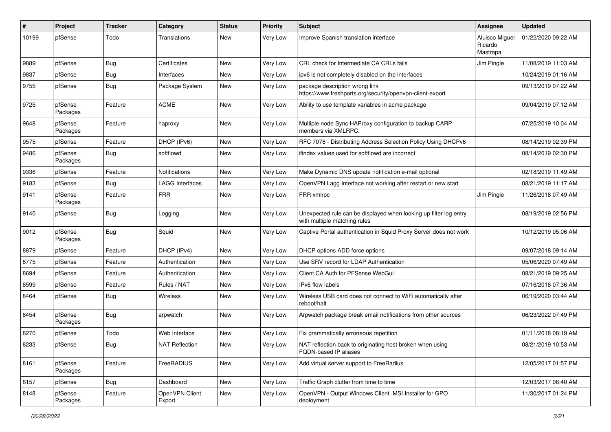| $\pmb{\#}$ | Project             | <b>Tracker</b> | Category                 | <b>Status</b> | <b>Priority</b> | <b>Subject</b>                                                                                    | Assignee                                     | <b>Updated</b>      |
|------------|---------------------|----------------|--------------------------|---------------|-----------------|---------------------------------------------------------------------------------------------------|----------------------------------------------|---------------------|
| 10199      | pfSense             | Todo           | Translations             | New           | Very Low        | Improve Spanish translation interface                                                             | <b>Aluisco Miquel</b><br>Ricardo<br>Mastrapa | 01/22/2020 09:22 AM |
| 9889       | pfSense             | Bug            | Certificates             | New           | Very Low        | CRL check for Intermediate CA CRLs fails                                                          | Jim Pingle                                   | 11/08/2019 11:03 AM |
| 9837       | pfSense             | Bug            | Interfaces               | <b>New</b>    | Very Low        | ipv6 is not completely disabled on the interfaces                                                 |                                              | 10/24/2019 01:16 AM |
| 9755       | pfSense             | Bug            | Package System           | New           | Very Low        | package description wrong link<br>https://www.freshports.org/security/openvpn-client-export       |                                              | 09/13/2019 07:22 AM |
| 9725       | pfSense<br>Packages | Feature        | <b>ACME</b>              | <b>New</b>    | Very Low        | Ability to use template variables in acme package                                                 |                                              | 09/04/2019 07:12 AM |
| 9648       | pfSense<br>Packages | Feature        | haproxy                  | New           | Very Low        | Multiple node Sync HAProxy configuration to backup CARP<br>members via XMLRPC.                    |                                              | 07/25/2019 10:04 AM |
| 9575       | pfSense             | Feature        | DHCP (IPv6)              | New           | Very Low        | RFC 7078 - Distributing Address Selection Policy Using DHCPv6                                     |                                              | 08/14/2019 02:39 PM |
| 9486       | pfSense<br>Packages | Bug            | softflowd                | New           | Very Low        | ifindex values used for softflowd are incorrect                                                   |                                              | 08/14/2019 02:30 PM |
| 9336       | pfSense             | Feature        | Notifications            | New           | Very Low        | Make Dynamic DNS update notification e-mail optional                                              |                                              | 02/18/2019 11:49 AM |
| 9183       | pfSense             | Bug            | <b>LAGG Interfaces</b>   | New           | Very Low        | OpenVPN Lagg Interface not working after restart or new start                                     |                                              | 08/21/2019 11:17 AM |
| 9141       | pfSense<br>Packages | Feature        | <b>FRR</b>               | New           | Very Low        | FRR xmlrpc                                                                                        | Jim Pingle                                   | 11/26/2018 07:49 AM |
| 9140       | pfSense             | Bug            | Logging                  | New           | Very Low        | Unexpected rule can be displayed when looking up filter log entry<br>with multiple matching rules |                                              | 08/19/2019 02:56 PM |
| 9012       | pfSense<br>Packages | Bug            | Squid                    | New           | Very Low        | Captive Portal authentication in Squid Proxy Server does not work                                 |                                              | 10/12/2019 05:06 AM |
| 8879       | pfSense             | Feature        | DHCP (IPv4)              | New           | Very Low        | DHCP options ADD force options                                                                    |                                              | 09/07/2018 09:14 AM |
| 8775       | pfSense             | Feature        | Authentication           | <b>New</b>    | Very Low        | Use SRV record for LDAP Authentication                                                            |                                              | 05/06/2020 07:49 AM |
| 8694       | pfSense             | Feature        | Authentication           | New           | Very Low        | Client CA Auth for PFSense WebGui                                                                 |                                              | 08/21/2019 09:25 AM |
| 8599       | pfSense             | Feature        | Rules / NAT              | New           | Very Low        | <b>IPv6</b> flow labels                                                                           |                                              | 07/16/2018 07:36 AM |
| 8464       | pfSense             | Bug            | Wireless                 | New           | Very Low        | Wireless USB card does not connect to WiFi automatically after<br>reboot/halt                     |                                              | 06/19/2020 03:44 AM |
| 8454       | pfSense<br>Packages | Bug            | arpwatch                 | New           | Very Low        | Arpwatch package break email notifications from other sources                                     |                                              | 06/23/2022 07:49 PM |
| 8270       | pfSense             | Todo           | Web Interface            | New           | Very Low        | Fix grammatically erroneous repetition                                                            |                                              | 01/11/2018 08:19 AM |
| 8233       | pfSense             | Bug            | <b>NAT Reflection</b>    | New           | Very Low        | NAT reflection back to originating host broken when using<br>FQDN-based IP aliases                |                                              | 08/21/2019 10:53 AM |
| 8161       | pfSense<br>Packages | Feature        | FreeRADIUS               | New           | Very Low        | Add virtual server support to FreeRadius                                                          |                                              | 12/05/2017 01:57 PM |
| 8157       | pfSense             | Bug            | Dashboard                | New           | Very Low        | Traffic Graph clutter from time to time                                                           |                                              | 12/03/2017 06:40 AM |
| 8148       | pfSense<br>Packages | Feature        | OpenVPN Client<br>Export | New           | Very Low        | OpenVPN - Output Windows Client .MSI Installer for GPO<br>deployment                              |                                              | 11/30/2017 01:24 PM |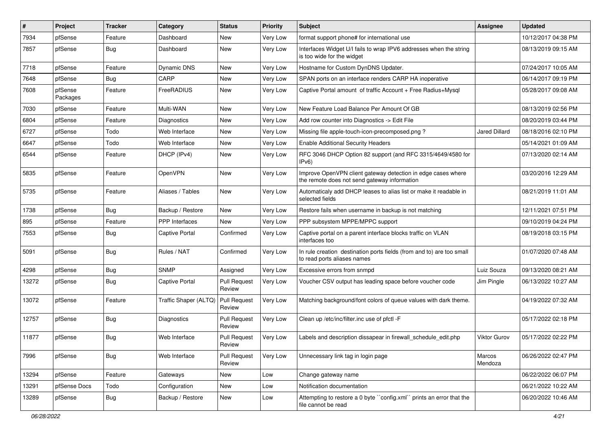| #     | Project             | <b>Tracker</b> | Category              | <b>Status</b>                 | <b>Priority</b> | Subject                                                                                                      | <b>Assignee</b>     | <b>Updated</b>      |
|-------|---------------------|----------------|-----------------------|-------------------------------|-----------------|--------------------------------------------------------------------------------------------------------------|---------------------|---------------------|
| 7934  | pfSense             | Feature        | Dashboard             | New                           | <b>Very Low</b> | format support phone# for international use                                                                  |                     | 10/12/2017 04:38 PM |
| 7857  | pfSense             | Bug            | Dashboard             | New                           | Very Low        | Interfaces Widget U/I fails to wrap IPV6 addresses when the string<br>is too wide for the widget             |                     | 08/13/2019 09:15 AM |
| 7718  | pfSense             | Feature        | <b>Dynamic DNS</b>    | New                           | Very Low        | Hostname for Custom DynDNS Updater.                                                                          |                     | 07/24/2017 10:05 AM |
| 7648  | pfSense             | Bug            | CARP                  | New                           | <b>Very Low</b> | SPAN ports on an interface renders CARP HA inoperative                                                       |                     | 06/14/2017 09:19 PM |
| 7608  | pfSense<br>Packages | Feature        | FreeRADIUS            | New                           | <b>Very Low</b> | Captive Portal amount of traffic Account + Free Radius+Mysql                                                 |                     | 05/28/2017 09:08 AM |
| 7030  | pfSense             | Feature        | Multi-WAN             | <b>New</b>                    | <b>Very Low</b> | New Feature Load Balance Per Amount Of GB                                                                    |                     | 08/13/2019 02:56 PM |
| 6804  | pfSense             | Feature        | Diagnostics           | New                           | Very Low        | Add row counter into Diagnostics -> Edit File                                                                |                     | 08/20/2019 03:44 PM |
| 6727  | pfSense             | Todo           | Web Interface         | <b>New</b>                    | <b>Very Low</b> | Missing file apple-touch-icon-precomposed.png?                                                               | Jared Dillard       | 08/18/2016 02:10 PM |
| 6647  | pfSense             | Todo           | Web Interface         | New                           | <b>Very Low</b> | <b>Enable Additional Security Headers</b>                                                                    |                     | 05/14/2021 01:09 AM |
| 6544  | pfSense             | Feature        | DHCP (IPv4)           | New                           | Very Low        | RFC 3046 DHCP Option 82 support (and RFC 3315/4649/4580 for<br>IPv6)                                         |                     | 07/13/2020 02:14 AM |
| 5835  | pfSense             | Feature        | OpenVPN               | <b>New</b>                    | <b>Very Low</b> | Improve OpenVPN client gateway detection in edge cases where<br>the remote does not send gateway information |                     | 03/20/2016 12:29 AM |
| 5735  | pfSense             | Feature        | Aliases / Tables      | New                           | Very Low        | Automaticaly add DHCP leases to alias list or make it readable in<br>selected fields                         |                     | 08/21/2019 11:01 AM |
| 1738  | pfSense             | Bug            | Backup / Restore      | New                           | Very Low        | Restore fails when username in backup is not matching                                                        |                     | 12/11/2021 07:51 PM |
| 895   | pfSense             | Feature        | <b>PPP</b> Interfaces | <b>New</b>                    | Very Low        | PPP subsystem MPPE/MPPC support                                                                              |                     | 09/10/2019 04:24 PM |
| 7553  | pfSense             | <b>Bug</b>     | <b>Captive Portal</b> | Confirmed                     | Very Low        | Captive portal on a parent interface blocks traffic on VLAN<br>interfaces too                                |                     | 08/19/2018 03:15 PM |
| 5091  | pfSense             | <b>Bug</b>     | Rules / NAT           | Confirmed                     | Very Low        | In rule creation destination ports fields (from and to) are too small<br>to read ports aliases names         |                     | 01/07/2020 07:48 AM |
| 4298  | pfSense             | Bug            | <b>SNMP</b>           | Assigned                      | Very Low        | Excessive errors from snmpd                                                                                  | Luiz Souza          | 09/13/2020 08:21 AM |
| 13272 | pfSense             | Bug            | <b>Captive Portal</b> | <b>Pull Request</b><br>Review | Very Low        | Voucher CSV output has leading space before voucher code                                                     | Jim Pingle          | 06/13/2022 10:27 AM |
| 13072 | pfSense             | Feature        | Traffic Shaper (ALTQ) | <b>Pull Request</b><br>Review | Very Low        | Matching background/font colors of queue values with dark theme.                                             |                     | 04/19/2022 07:32 AM |
| 12757 | pfSense             | <b>Bug</b>     | <b>Diagnostics</b>    | Pull Request<br>Review        | Very Low        | Clean up /etc/inc/filter.inc use of pfctl -F                                                                 |                     | 05/17/2022 02:18 PM |
| 11877 | pfSense             | Bug            | Web Interface         | <b>Pull Request</b><br>Review | Very Low        | Labels and description dissapear in firewall_schedule_edit.php                                               | <b>Viktor Gurov</b> | 05/17/2022 02:22 PM |
| 7996  | pfSense             | Bug            | Web Interface         | <b>Pull Request</b><br>Review | Very Low        | Unnecessary link tag in login page                                                                           | Marcos<br>Mendoza   | 06/26/2022 02:47 PM |
| 13294 | pfSense             | Feature        | Gateways              | New                           | Low             | Change gateway name                                                                                          |                     | 06/22/2022 06:07 PM |
| 13291 | pfSense Docs        | Todo           | Configuration         | New                           | Low             | Notification documentation                                                                                   |                     | 06/21/2022 10:22 AM |
| 13289 | pfSense             | Bug            | Backup / Restore      | New                           | Low             | Attempting to restore a 0 byte "config.xml" prints an error that the<br>file cannot be read                  |                     | 06/20/2022 10:46 AM |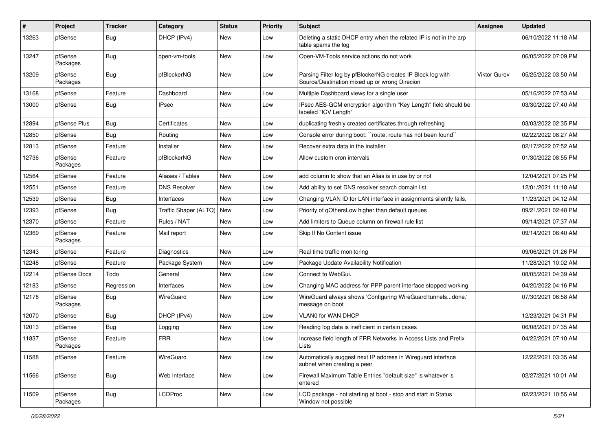| ∦     | Project             | <b>Tracker</b> | Category                    | <b>Status</b> | <b>Priority</b> | Subject                                                                                                      | <b>Assignee</b> | <b>Updated</b>      |
|-------|---------------------|----------------|-----------------------------|---------------|-----------------|--------------------------------------------------------------------------------------------------------------|-----------------|---------------------|
| 13263 | pfSense             | <b>Bug</b>     | DHCP (IPv4)                 | New           | Low             | Deleting a static DHCP entry when the related IP is not in the arp<br>table spams the log                    |                 | 06/10/2022 11:18 AM |
| 13247 | pfSense<br>Packages | <b>Bug</b>     | open-vm-tools               | New           | Low             | Open-VM-Tools service actions do not work                                                                    |                 | 06/05/2022 07:09 PM |
| 13209 | pfSense<br>Packages | <b>Bug</b>     | pfBlockerNG                 | New           | Low             | Parsing Filter log by pfBlockerNG creates IP Block log with<br>Source/Destination mixed up or wrong Direcion | Viktor Gurov    | 05/25/2022 03:50 AM |
| 13168 | pfSense             | Feature        | Dashboard                   | New           | Low             | Multiple Dashboard views for a single user                                                                   |                 | 05/16/2022 07:53 AM |
| 13000 | pfSense             | <b>Bug</b>     | <b>IPsec</b>                | New           | Low             | IPsec AES-GCM encryption algorithm "Key Length" field should be<br>labeled "ICV Length"                      |                 | 03/30/2022 07:40 AM |
| 12894 | pfSense Plus        | <b>Bug</b>     | Certificates                | New           | Low             | duplicating freshly created certificates through refreshing                                                  |                 | 03/03/2022 02:35 PM |
| 12850 | pfSense             | Bug            | Routing                     | New           | Low             | Console error during boot: "route: route has not been found"                                                 |                 | 02/22/2022 08:27 AM |
| 12813 | pfSense             | Feature        | Installer                   | New           | Low             | Recover extra data in the installer                                                                          |                 | 02/17/2022 07:52 AM |
| 12736 | pfSense<br>Packages | Feature        | pfBlockerNG                 | New           | Low             | Allow custom cron intervals                                                                                  |                 | 01/30/2022 08:55 PM |
| 12564 | pfSense             | Feature        | Aliases / Tables            | New           | Low             | add column to show that an Alias is in use by or not                                                         |                 | 12/04/2021 07:25 PM |
| 12551 | pfSense             | Feature        | <b>DNS Resolver</b>         | New           | Low             | Add ability to set DNS resolver search domain list                                                           |                 | 12/01/2021 11:18 AM |
| 12539 | pfSense             | <b>Bug</b>     | Interfaces                  | New           | Low             | Changing VLAN ID for LAN interface in assignments silently fails.                                            |                 | 11/23/2021 04:12 AM |
| 12393 | pfSense             | <b>Bug</b>     | Traffic Shaper (ALTQ)   New |               | Low             | Priority of qOthersLow higher than default queues                                                            |                 | 09/21/2021 02:48 PM |
| 12370 | pfSense             | Feature        | Rules / NAT                 | New           | Low             | Add limiters to Queue column on firewall rule list                                                           |                 | 09/14/2021 07:37 AM |
| 12369 | pfSense<br>Packages | Feature        | Mail report                 | New           | Low             | Skip If No Content issue                                                                                     |                 | 09/14/2021 06:40 AM |
| 12343 | pfSense             | Feature        | Diagnostics                 | New           | Low             | Real time traffic monitoring                                                                                 |                 | 09/06/2021 01:26 PM |
| 12248 | pfSense             | Feature        | Package System              | New           | Low             | Package Update Availability Notification                                                                     |                 | 11/28/2021 10:02 AM |
| 12214 | pfSense Docs        | Todo           | General                     | New           | Low             | Connect to WebGui.                                                                                           |                 | 08/05/2021 04:39 AM |
| 12183 | pfSense             | Regression     | Interfaces                  | New           | Low             | Changing MAC address for PPP parent interface stopped working                                                |                 | 04/20/2022 04:16 PM |
| 12178 | pfSense<br>Packages | <b>Bug</b>     | WireGuard                   | New           | Low             | WireGuard always shows 'Configuring WireGuard tunnelsdone.'<br>message on boot                               |                 | 07/30/2021 06:58 AM |
| 12070 | pfSense             | <b>Bug</b>     | DHCP (IPv4)                 | New           | Low             | VLAN0 for WAN DHCP                                                                                           |                 | 12/23/2021 04:31 PM |
| 12013 | pfSense             | <b>Bug</b>     | Logging                     | New           | Low             | Reading log data is inefficient in certain cases                                                             |                 | 06/08/2021 07:35 AM |
| 11837 | pfSense<br>Packages | Feature        | <b>FRR</b>                  | New           | Low             | Increase field length of FRR Networks in Access Lists and Prefix<br>LISIS                                    |                 | 04/22/2021 07:10 AM |
| 11588 | pfSense             | Feature        | WireGuard                   | New           | Low             | Automatically suggest next IP address in Wireguard interface<br>subnet when creating a peer                  |                 | 12/22/2021 03:35 AM |
| 11566 | pfSense             | Bug            | Web Interface               | New           | Low             | Firewall Maximum Table Entries "default size" is whatever is<br>entered                                      |                 | 02/27/2021 10:01 AM |
| 11509 | pfSense<br>Packages | <b>Bug</b>     | <b>LCDProc</b>              | New           | Low             | LCD package - not starting at boot - stop and start in Status<br>Window not possible                         |                 | 02/23/2021 10:55 AM |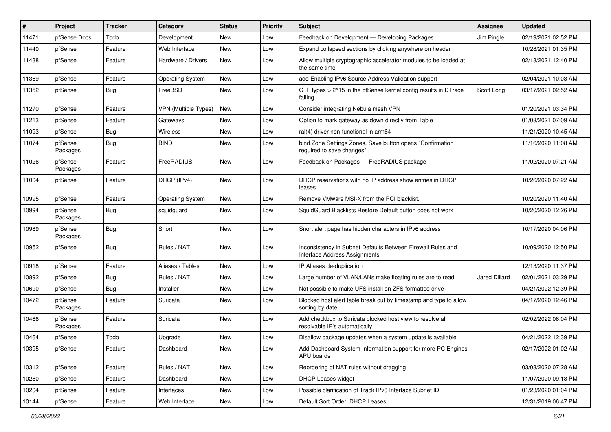| #     | Project             | <b>Tracker</b> | Category                | <b>Status</b> | <b>Priority</b> | Subject                                                                                      | <b>Assignee</b> | <b>Updated</b>      |
|-------|---------------------|----------------|-------------------------|---------------|-----------------|----------------------------------------------------------------------------------------------|-----------------|---------------------|
| 11471 | pfSense Docs        | Todo           | Development             | New           | Low             | Feedback on Development - Developing Packages                                                | Jim Pingle      | 02/19/2021 02:52 PM |
| 11440 | pfSense             | Feature        | Web Interface           | New           | Low             | Expand collapsed sections by clicking anywhere on header                                     |                 | 10/28/2021 01:35 PM |
| 11438 | pfSense             | Feature        | Hardware / Drivers      | New           | Low             | Allow multiple cryptographic accelerator modules to be loaded at<br>the same time            |                 | 02/18/2021 12:40 PM |
| 11369 | pfSense             | Feature        | <b>Operating System</b> | New           | Low             | add Enabling IPv6 Source Address Validation support                                          |                 | 02/04/2021 10:03 AM |
| 11352 | pfSense             | Bug            | FreeBSD                 | New           | Low             | CTF types > 2^15 in the pfSense kernel config results in DTrace<br>failing                   | Scott Long      | 03/17/2021 02:52 AM |
| 11270 | pfSense             | Feature        | VPN (Multiple Types)    | <b>New</b>    | Low             | Consider integrating Nebula mesh VPN                                                         |                 | 01/20/2021 03:34 PM |
| 11213 | pfSense             | Feature        | Gateways                | New           | Low             | Option to mark gateway as down directly from Table                                           |                 | 01/03/2021 07:09 AM |
| 11093 | pfSense             | Bug            | <b>Wireless</b>         | New           | Low             | ral(4) driver non-functional in arm64                                                        |                 | 11/21/2020 10:45 AM |
| 11074 | pfSense<br>Packages | Bug            | <b>BIND</b>             | New           | Low             | bind Zone Settings Zones, Save button opens "Confirmation<br>required to save changes"       |                 | 11/16/2020 11:08 AM |
| 11026 | pfSense<br>Packages | Feature        | FreeRADIUS              | New           | Low             | Feedback on Packages - FreeRADIUS package                                                    |                 | 11/02/2020 07:21 AM |
| 11004 | pfSense             | Feature        | DHCP (IPv4)             | <b>New</b>    | Low             | DHCP reservations with no IP address show entries in DHCP<br>leases                          |                 | 10/26/2020 07:22 AM |
| 10995 | pfSense             | Feature        | <b>Operating System</b> | New           | Low             | Remove VMware MSI-X from the PCI blacklist.                                                  |                 | 10/20/2020 11:40 AM |
| 10994 | pfSense<br>Packages | <b>Bug</b>     | squidguard              | New           | Low             | SquidGuard Blacklists Restore Default button does not work                                   |                 | 10/20/2020 12:26 PM |
| 10989 | pfSense<br>Packages | <b>Bug</b>     | Snort                   | New           | Low             | Snort alert page has hidden characters in IPv6 address                                       |                 | 10/17/2020 04:06 PM |
| 10952 | pfSense             | <b>Bug</b>     | Rules / NAT             | New           | Low             | Inconsistency in Subnet Defaults Between Firewall Rules and<br>Interface Address Assignments |                 | 10/09/2020 12:50 PM |
| 10918 | pfSense             | Feature        | Aliases / Tables        | New           | Low             | IP Aliases de-duplication                                                                    |                 | 12/13/2020 11:37 PM |
| 10892 | pfSense             | <b>Bug</b>     | Rules / NAT             | New           | Low             | Large number of VLAN/LANs make floating rules are to read                                    | Jared Dillard   | 02/01/2021 03:29 PM |
| 10690 | pfSense             | <b>Bug</b>     | Installer               | New           | Low             | Not possible to make UFS install on ZFS formatted drive                                      |                 | 04/21/2022 12:39 PM |
| 10472 | pfSense<br>Packages | Feature        | Suricata                | New           | Low             | Blocked host alert table break out by timestamp and type to allow<br>sorting by date         |                 | 04/17/2020 12:46 PM |
| 10466 | pfSense<br>Packages | Feature        | Suricata                | New           | Low             | Add checkbox to Suricata blocked host view to resolve all<br>resolvable IP's automatically   |                 | 02/02/2022 06:04 PM |
| 10464 | pfSense             | Todo           | Upgrade                 | New           | Low             | Disallow package updates when a system update is available                                   |                 | 04/21/2022 12:39 PM |
| 10395 | pfSense             | Feature        | Dashboard               | New           | Low             | Add Dashboard System Information support for more PC Engines<br>APU boards                   |                 | 02/17/2022 01:02 AM |
| 10312 | pfSense             | Feature        | Rules / NAT             | New           | Low             | Reordering of NAT rules without dragging                                                     |                 | 03/03/2020 07:28 AM |
| 10280 | pfSense             | Feature        | Dashboard               | New           | Low             | <b>DHCP Leases widget</b>                                                                    |                 | 11/07/2020 09:18 PM |
| 10204 | pfSense             | Feature        | Interfaces              | New           | Low             | Possible clarification of Track IPv6 Interface Subnet ID                                     |                 | 01/23/2020 01:04 PM |
| 10144 | pfSense             | Feature        | Web Interface           | New           | Low             | Default Sort Order, DHCP Leases                                                              |                 | 12/31/2019 06:47 PM |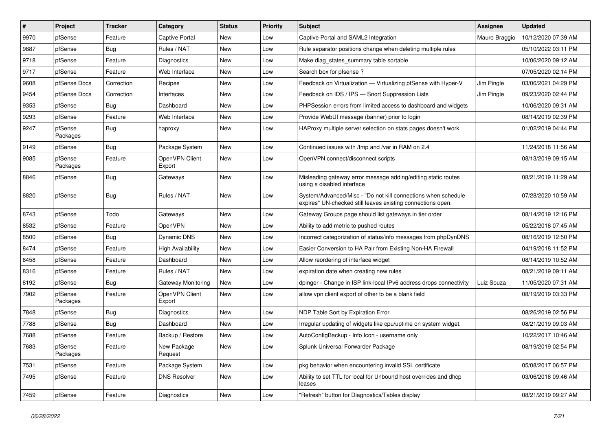| $\vert$ # | Project             | <b>Tracker</b> | Category                 | <b>Status</b> | <b>Priority</b> | <b>Subject</b>                                                                                                               | <b>Assignee</b> | <b>Updated</b>      |
|-----------|---------------------|----------------|--------------------------|---------------|-----------------|------------------------------------------------------------------------------------------------------------------------------|-----------------|---------------------|
| 9970      | pfSense             | Feature        | Captive Portal           | New           | Low             | Captive Portal and SAML2 Integration                                                                                         | Mauro Braggio   | 10/12/2020 07:39 AM |
| 9887      | pfSense             | <b>Bug</b>     | Rules / NAT              | New           | Low             | Rule separator positions change when deleting multiple rules                                                                 |                 | 05/10/2022 03:11 PM |
| 9718      | pfSense             | Feature        | <b>Diagnostics</b>       | New           | Low             | Make diag_states_summary table sortable                                                                                      |                 | 10/06/2020 09:12 AM |
| 9717      | pfSense             | Feature        | Web Interface            | New           | Low             | Search box for pfsense?                                                                                                      |                 | 07/05/2020 02:14 PM |
| 9608      | pfSense Docs        | Correction     | Recipes                  | New           | Low             | Feedback on Virtualization - Virtualizing pfSense with Hyper-V                                                               | Jim Pingle      | 03/06/2021 04:29 PM |
| 9454      | pfSense Docs        | Correction     | Interfaces               | New           | Low             | Feedback on IDS / IPS - Snort Suppression Lists                                                                              | Jim Pingle      | 09/23/2020 02:44 PM |
| 9353      | pfSense             | <b>Bug</b>     | Dashboard                | New           | Low             | PHPSession errors from limited access to dashboard and widgets                                                               |                 | 10/06/2020 09:31 AM |
| 9293      | pfSense             | Feature        | Web Interface            | New           | Low             | Provide WebUI message (banner) prior to login                                                                                |                 | 08/14/2019 02:39 PM |
| 9247      | pfSense<br>Packages | <b>Bug</b>     | haproxy                  | New           | Low             | HAProxy multiple server selection on stats pages doesn't work                                                                |                 | 01/02/2019 04:44 PM |
| 9149      | pfSense             | <b>Bug</b>     | Package System           | New           | Low             | Continued issues with /tmp and /var in RAM on 2.4                                                                            |                 | 11/24/2018 11:56 AM |
| 9085      | pfSense<br>Packages | Feature        | OpenVPN Client<br>Export | New           | Low             | OpenVPN connect/disconnect scripts                                                                                           |                 | 08/13/2019 09:15 AM |
| 8846      | pfSense             | <b>Bug</b>     | Gateways                 | New           | Low             | Misleading gateway error message adding/editing static routes<br>using a disabled interface                                  |                 | 08/21/2019 11:29 AM |
| 8820      | pfSense             | <b>Bug</b>     | Rules / NAT              | New           | Low             | System/Advanced/Misc - "Do not kill connections when schedule<br>expires" UN-checked still leaves existing connections open. |                 | 07/28/2020 10:59 AM |
| 8743      | pfSense             | Todo           | Gateways                 | New           | Low             | Gateway Groups page should list gateways in tier order                                                                       |                 | 08/14/2019 12:16 PM |
| 8532      | pfSense             | Feature        | OpenVPN                  | New           | Low             | Ability to add metric to pushed routes                                                                                       |                 | 05/22/2018 07:45 AM |
| 8500      | pfSense             | <b>Bug</b>     | Dynamic DNS              | New           | Low             | Incorrect categorization of status/info messages from phpDynDNS                                                              |                 | 08/16/2019 12:50 PM |
| 8474      | pfSense             | Feature        | <b>High Availability</b> | New           | Low             | Easier Conversion to HA Pair from Existing Non-HA Firewall                                                                   |                 | 04/19/2018 11:52 PM |
| 8458      | pfSense             | Feature        | Dashboard                | New           | Low             | Allow reordering of interface widget                                                                                         |                 | 08/14/2019 10:52 AM |
| 8316      | pfSense             | Feature        | Rules / NAT              | New           | Low             | expiration date when creating new rules                                                                                      |                 | 08/21/2019 09:11 AM |
| 8192      | pfSense             | <b>Bug</b>     | Gateway Monitoring       | <b>New</b>    | Low             | dpinger - Change in ISP link-local IPv6 address drops connectivity                                                           | Luiz Souza      | 11/05/2020 07:31 AM |
| 7902      | pfSense<br>Packages | Feature        | OpenVPN Client<br>Export | New           | Low             | allow vpn client export of other to be a blank field                                                                         |                 | 08/19/2019 03:33 PM |
| 7848      | pfSense             | <b>Bug</b>     | Diagnostics              | New           | Low             | NDP Table Sort by Expiration Error                                                                                           |                 | 08/26/2019 02:56 PM |
| 7788      | pfSense             | <b>Bug</b>     | Dashboard                | New           | Low             | Irregular updating of widgets like cpu/uptime on system widget.                                                              |                 | 08/21/2019 09:03 AM |
| 7688      | pfSense             | Feature        | Backup / Restore         | New           | Low             | AutoConfigBackup - Info Icon - username only                                                                                 |                 | 10/22/2017 10:46 AM |
| 7683      | pfSense<br>Packages | Feature        | New Package<br>Request   | New           | Low             | Splunk Universal Forwarder Package                                                                                           |                 | 08/19/2019 02:54 PM |
| 7531      | pfSense             | Feature        | Package System           | New           | Low             | pkg behavior when encountering invalid SSL certificate                                                                       |                 | 05/08/2017 06:57 PM |
| 7495      | pfSense             | Feature        | <b>DNS Resolver</b>      | New           | Low             | Ability to set TTL for local for Unbound host overrides and dhcp<br>leases                                                   |                 | 03/06/2018 09:46 AM |
| 7459      | pfSense             | Feature        | Diagnostics              | New           | Low             | "Refresh" button for Diagnostics/Tables display                                                                              |                 | 08/21/2019 09:27 AM |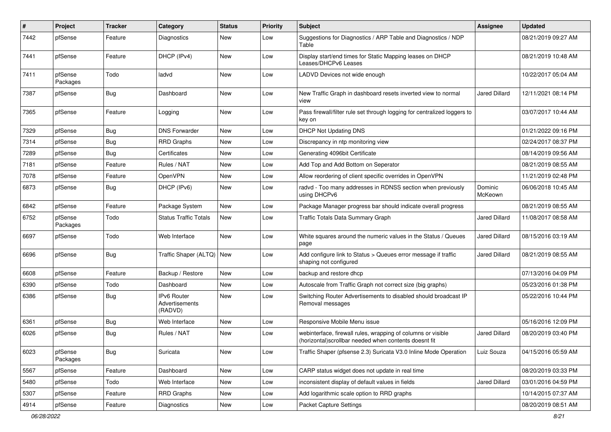| $\sharp$ | Project             | <b>Tracker</b> | Category                                        | <b>Status</b> | <b>Priority</b> | Subject                                                                                                               | Assignee           | <b>Updated</b>      |
|----------|---------------------|----------------|-------------------------------------------------|---------------|-----------------|-----------------------------------------------------------------------------------------------------------------------|--------------------|---------------------|
| 7442     | pfSense             | Feature        | <b>Diagnostics</b>                              | New           | Low             | Suggestions for Diagnostics / ARP Table and Diagnostics / NDP<br>Table                                                |                    | 08/21/2019 09:27 AM |
| 7441     | pfSense             | Feature        | DHCP (IPv4)                                     | New           | Low             | Display start/end times for Static Mapping leases on DHCP<br>Leases/DHCPv6 Leases                                     |                    | 08/21/2019 10:48 AM |
| 7411     | pfSense<br>Packages | Todo           | ladvd                                           | New           | Low             | LADVD Devices not wide enough                                                                                         |                    | 10/22/2017 05:04 AM |
| 7387     | pfSense             | Bug            | Dashboard                                       | New           | Low             | New Traffic Graph in dashboard resets inverted view to normal<br>view                                                 | Jared Dillard      | 12/11/2021 08:14 PM |
| 7365     | pfSense             | Feature        | Logging                                         | New           | Low             | Pass firewall/filter rule set through logging for centralized loggers to<br>key on                                    |                    | 03/07/2017 10:44 AM |
| 7329     | pfSense             | <b>Bug</b>     | <b>DNS Forwarder</b>                            | New           | Low             | <b>DHCP Not Updating DNS</b>                                                                                          |                    | 01/21/2022 09:16 PM |
| 7314     | pfSense             | <b>Bug</b>     | <b>RRD Graphs</b>                               | New           | Low             | Discrepancy in ntp monitoring view                                                                                    |                    | 02/24/2017 08:37 PM |
| 7289     | pfSense             | Bug            | Certificates                                    | <b>New</b>    | Low             | Generating 4096bit Certificate                                                                                        |                    | 08/14/2019 09:56 AM |
| 7181     | pfSense             | Feature        | Rules / NAT                                     | New           | Low             | Add Top and Add Bottom on Seperator                                                                                   |                    | 08/21/2019 08:55 AM |
| 7078     | pfSense             | Feature        | OpenVPN                                         | New           | Low             | Allow reordering of client specific overrides in OpenVPN                                                              |                    | 11/21/2019 02:48 PM |
| 6873     | pfSense             | Bug            | DHCP (IPv6)                                     | New           | Low             | radvd - Too many addresses in RDNSS section when previously<br>using DHCPv6                                           | Dominic<br>McKeown | 06/06/2018 10:45 AM |
| 6842     | pfSense             | Feature        | Package System                                  | New           | Low             | Package Manager progress bar should indicate overall progress                                                         |                    | 08/21/2019 08:55 AM |
| 6752     | pfSense<br>Packages | Todo           | <b>Status Traffic Totals</b>                    | New           | Low             | Traffic Totals Data Summary Graph                                                                                     | Jared Dillard      | 11/08/2017 08:58 AM |
| 6697     | pfSense             | Todo           | Web Interface                                   | New           | Low             | White squares around the numeric values in the Status / Queues<br>page                                                | Jared Dillard      | 08/15/2016 03:19 AM |
| 6696     | pfSense             | Bug            | Traffic Shaper (ALTQ)   New                     |               | Low             | Add configure link to Status > Queues error message if traffic<br>shaping not configured                              | Jared Dillard      | 08/21/2019 08:55 AM |
| 6608     | pfSense             | Feature        | Backup / Restore                                | <b>New</b>    | Low             | backup and restore dhcp                                                                                               |                    | 07/13/2016 04:09 PM |
| 6390     | pfSense             | Todo           | Dashboard                                       | New           | Low             | Autoscale from Traffic Graph not correct size (big graphs)                                                            |                    | 05/23/2016 01:38 PM |
| 6386     | pfSense             | <b>Bug</b>     | <b>IPv6 Router</b><br>Advertisements<br>(RADVD) | New           | Low             | Switching Router Advertisements to disabled should broadcast IP<br>Removal messages                                   |                    | 05/22/2016 10:44 PM |
| 6361     | pfSense             | <b>Bug</b>     | Web Interface                                   | New           | Low             | Responsive Mobile Menu issue                                                                                          |                    | 05/16/2016 12:09 PM |
| 6026     | pfSense             | <b>Bug</b>     | Rules / NAT                                     | New           | Low             | webinterface, firewall rules, wrapping of columns or visible<br>(horizontal)scrollbar needed when contents doesnt fit | Jared Dillard      | 08/20/2019 03:40 PM |
| 6023     | pfSense<br>Packages | Bug            | Suricata                                        | New           | Low             | Traffic Shaper (pfsense 2.3) Suricata V3.0 Inline Mode Operation                                                      | Luiz Souza         | 04/15/2016 05:59 AM |
| 5567     | pfSense             | Feature        | Dashboard                                       | New           | Low             | CARP status widget does not update in real time                                                                       |                    | 08/20/2019 03:33 PM |
| 5480     | pfSense             | Todo           | Web Interface                                   | New           | Low             | inconsistent display of default values in fields                                                                      | Jared Dillard      | 03/01/2016 04:59 PM |
| 5307     | pfSense             | Feature        | RRD Graphs                                      | New           | Low             | Add logarithmic scale option to RRD graphs                                                                            |                    | 10/14/2015 07:37 AM |
| 4914     | pfSense             | Feature        | Diagnostics                                     | New           | Low             | Packet Capture Settings                                                                                               |                    | 08/20/2019 08:51 AM |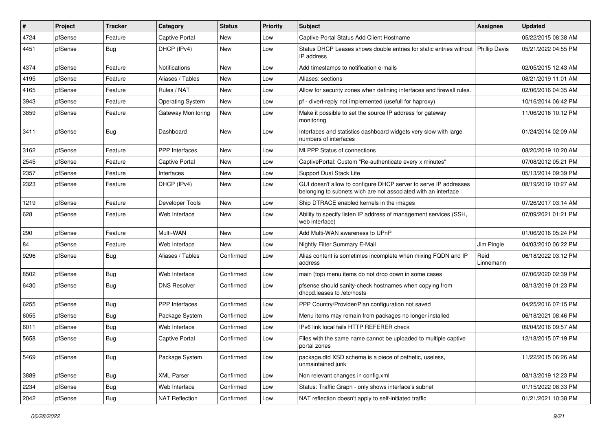| $\sharp$ | Project | <b>Tracker</b> | Category                | <b>Status</b> | <b>Priority</b> | Subject                                                                                                                            | <b>Assignee</b>   | <b>Updated</b>      |
|----------|---------|----------------|-------------------------|---------------|-----------------|------------------------------------------------------------------------------------------------------------------------------------|-------------------|---------------------|
| 4724     | pfSense | Feature        | Captive Portal          | <b>New</b>    | Low             | Captive Portal Status Add Client Hostname                                                                                          |                   | 05/22/2015 08:38 AM |
| 4451     | pfSense | Bug            | DHCP (IPv4)             | New           | Low             | Status DHCP Leases shows double entries for static entries without   Phillip Davis<br>IP address                                   |                   | 05/21/2022 04:55 PM |
| 4374     | pfSense | Feature        | Notifications           | New           | Low             | Add timestamps to notification e-mails                                                                                             |                   | 02/05/2015 12:43 AM |
| 4195     | pfSense | Feature        | Aliases / Tables        | <b>New</b>    | Low             | Aliases: sections                                                                                                                  |                   | 08/21/2019 11:01 AM |
| 4165     | pfSense | Feature        | Rules / NAT             | New           | Low             | Allow for security zones when defining interfaces and firewall rules.                                                              |                   | 02/06/2016 04:35 AM |
| 3943     | pfSense | Feature        | <b>Operating System</b> | New           | Low             | pf - divert-reply not implemented (usefull for haproxy)                                                                            |                   | 10/16/2014 06:42 PM |
| 3859     | pfSense | Feature        | Gateway Monitoring      | New           | Low             | Make it possible to set the source IP address for gateway<br>monitoring                                                            |                   | 11/06/2016 10:12 PM |
| 3411     | pfSense | Bug            | Dashboard               | New           | Low             | Interfaces and statistics dashboard widgets very slow with large<br>numbers of interfaces                                          |                   | 01/24/2014 02:09 AM |
| 3162     | pfSense | Feature        | <b>PPP</b> Interfaces   | New           | Low             | <b>MLPPP Status of connections</b>                                                                                                 |                   | 08/20/2019 10:20 AM |
| 2545     | pfSense | Feature        | Captive Portal          | <b>New</b>    | Low             | CaptivePortal: Custom "Re-authenticate every x minutes"                                                                            |                   | 07/08/2012 05:21 PM |
| 2357     | pfSense | Feature        | Interfaces              | New           | Low             | Support Dual Stack Lite                                                                                                            |                   | 05/13/2014 09:39 PM |
| 2323     | pfSense | Feature        | DHCP (IPv4)             | New           | Low             | GUI doesn't allow to configure DHCP server to serve IP addresses<br>belonging to subnets wich are not associated with an interface |                   | 08/19/2019 10:27 AM |
| 1219     | pfSense | Feature        | Developer Tools         | <b>New</b>    | Low             | Ship DTRACE enabled kernels in the images                                                                                          |                   | 07/26/2017 03:14 AM |
| 628      | pfSense | Feature        | Web Interface           | New           | Low             | Ability to specify listen IP address of management services (SSH,<br>web interface)                                                |                   | 07/09/2021 01:21 PM |
| 290      | pfSense | Feature        | Multi-WAN               | New           | Low             | Add Multi-WAN awareness to UPnP                                                                                                    |                   | 01/06/2016 05:24 PM |
| 84       | pfSense | Feature        | Web Interface           | <b>New</b>    | Low             | Nightly Filter Summary E-Mail                                                                                                      | Jim Pingle        | 04/03/2010 06:22 PM |
| 9296     | pfSense | <b>Bug</b>     | Aliases / Tables        | Confirmed     | Low             | Alias content is sometimes incomplete when mixing FQDN and IP<br>address                                                           | Reid<br>Linnemann | 06/18/2022 03:12 PM |
| 8502     | pfSense | <b>Bug</b>     | Web Interface           | Confirmed     | Low             | main (top) menu items do not drop down in some cases                                                                               |                   | 07/06/2020 02:39 PM |
| 6430     | pfSense | <b>Bug</b>     | <b>DNS Resolver</b>     | Confirmed     | Low             | pfsense should sanity-check hostnames when copying from<br>dhcpd.leases to /etc/hosts                                              |                   | 08/13/2019 01:23 PM |
| 6255     | pfSense | <b>Bug</b>     | <b>PPP</b> Interfaces   | Confirmed     | Low             | PPP Country/Provider/Plan configuration not saved                                                                                  |                   | 04/25/2016 07:15 PM |
| 6055     | pfSense | <b>Bug</b>     | Package System          | Confirmed     | Low             | Menu items may remain from packages no longer installed                                                                            |                   | 06/18/2021 08:46 PM |
| 6011     | pfSense | <b>Bug</b>     | Web Interface           | Confirmed     | Low             | IPv6 link local fails HTTP REFERER check                                                                                           |                   | 09/04/2016 09:57 AM |
| 5658     | pfSense | <b>Bug</b>     | <b>Captive Portal</b>   | Confirmed     | Low             | Files with the same name cannot be uploaded to multiple captive<br>portal zones                                                    |                   | 12/18/2015 07:19 PM |
| 5469     | pfSense | <b>Bug</b>     | Package System          | Confirmed     | Low             | package.dtd XSD schema is a piece of pathetic, useless,<br>unmaintained junk                                                       |                   | 11/22/2015 06:26 AM |
| 3889     | pfSense | <b>Bug</b>     | <b>XML Parser</b>       | Confirmed     | Low             | Non relevant changes in config.xml                                                                                                 |                   | 08/13/2019 12:23 PM |
| 2234     | pfSense | <b>Bug</b>     | Web Interface           | Confirmed     | Low             | Status: Traffic Graph - only shows interface's subnet                                                                              |                   | 01/15/2022 08:33 PM |
| 2042     | pfSense | Bug            | <b>NAT Reflection</b>   | Confirmed     | Low             | NAT reflection doesn't apply to self-initiated traffic                                                                             |                   | 01/21/2021 10:38 PM |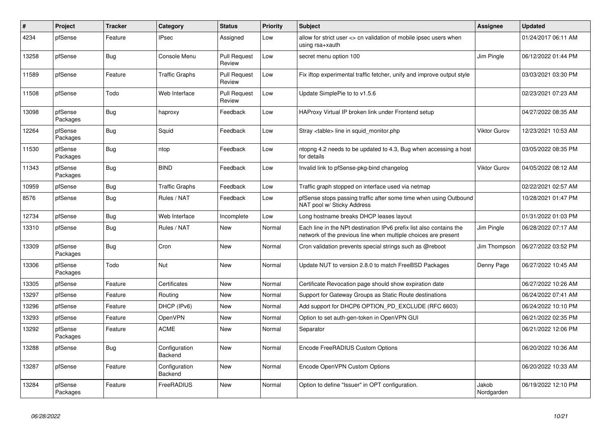| #     | Project             | <b>Tracker</b> | Category                 | <b>Status</b>                 | Priority | <b>Subject</b>                                                                                                                        | Assignee            | <b>Updated</b>      |
|-------|---------------------|----------------|--------------------------|-------------------------------|----------|---------------------------------------------------------------------------------------------------------------------------------------|---------------------|---------------------|
| 4234  | pfSense             | Feature        | <b>IPsec</b>             | Assigned                      | Low      | allow for strict user <> cn validation of mobile ipsec users when<br>using rsa+xauth                                                  |                     | 01/24/2017 06:11 AM |
| 13258 | pfSense             | Bug            | Console Menu             | <b>Pull Request</b><br>Review | Low      | secret menu option 100                                                                                                                | Jim Pingle          | 06/12/2022 01:44 PM |
| 11589 | pfSense             | Feature        | <b>Traffic Graphs</b>    | <b>Pull Request</b><br>Review | Low      | Fix iftop experimental traffic fetcher, unify and improve output style                                                                |                     | 03/03/2021 03:30 PM |
| 11508 | pfSense             | Todo           | Web Interface            | <b>Pull Request</b><br>Review | Low      | Update SimplePie to to v1.5.6                                                                                                         |                     | 02/23/2021 07:23 AM |
| 13098 | pfSense<br>Packages | <b>Bug</b>     | haproxy                  | Feedback                      | Low      | HAProxy Virtual IP broken link under Frontend setup                                                                                   |                     | 04/27/2022 08:35 AM |
| 12264 | pfSense<br>Packages | Bug            | Squid                    | Feedback                      | Low      | Stray <table> line in squid monitor.php</table>                                                                                       | Viktor Gurov        | 12/23/2021 10:53 AM |
| 11530 | pfSense<br>Packages | Bug            | ntop                     | Feedback                      | Low      | ntopng 4.2 needs to be updated to 4.3, Bug when accessing a host<br>for details                                                       |                     | 03/05/2022 08:35 PM |
| 11343 | pfSense<br>Packages | <b>Bug</b>     | <b>BIND</b>              | Feedback                      | Low      | Invalid link to pfSense-pkg-bind changelog                                                                                            | <b>Viktor Gurov</b> | 04/05/2022 08:12 AM |
| 10959 | pfSense             | <b>Bug</b>     | <b>Traffic Graphs</b>    | Feedback                      | Low      | Traffic graph stopped on interface used via netmap                                                                                    |                     | 02/22/2021 02:57 AM |
| 8576  | pfSense             | Bug            | Rules / NAT              | Feedback                      | Low      | pfSense stops passing traffic after some time when using Outbound<br>NAT pool w/ Sticky Address                                       |                     | 10/28/2021 01:47 PM |
| 12734 | pfSense             | Bug            | Web Interface            | Incomplete                    | Low      | Long hostname breaks DHCP leases layout                                                                                               |                     | 01/31/2022 01:03 PM |
| 13310 | pfSense             | Bug            | Rules / NAT              | <b>New</b>                    | Normal   | Each line in the NPt destination IPv6 prefix list also contains the<br>network of the previous line when multiple choices are present | Jim Pingle          | 06/28/2022 07:17 AM |
| 13309 | pfSense<br>Packages | Bug            | Cron                     | <b>New</b>                    | Normal   | Cron validation prevents special strings such as @reboot                                                                              | Jim Thompson        | 06/27/2022 03:52 PM |
| 13306 | pfSense<br>Packages | Todo           | Nut                      | <b>New</b>                    | Normal   | Update NUT to version 2.8.0 to match FreeBSD Packages                                                                                 | Denny Page          | 06/27/2022 10:45 AM |
| 13305 | pfSense             | Feature        | Certificates             | <b>New</b>                    | Normal   | Certificate Revocation page should show expiration date                                                                               |                     | 06/27/2022 10:26 AM |
| 13297 | pfSense             | Feature        | Routing                  | <b>New</b>                    | Normal   | Support for Gateway Groups as Static Route destinations                                                                               |                     | 06/24/2022 07:41 AM |
| 13296 | pfSense             | Feature        | DHCP (IPv6)              | <b>New</b>                    | Normal   | Add support for DHCP6 OPTION PD EXCLUDE (RFC 6603)                                                                                    |                     | 06/24/2022 10:10 PM |
| 13293 | pfSense             | Feature        | <b>OpenVPN</b>           | <b>New</b>                    | Normal   | Option to set auth-gen-token in OpenVPN GUI                                                                                           |                     | 06/21/2022 02:35 PM |
| 13292 | pfSense<br>Packages | Feature        | <b>ACME</b>              | <b>New</b>                    | Normal   | Separator                                                                                                                             |                     | 06/21/2022 12:06 PM |
| 13288 | pfSense             | Bug            | Configuration<br>Backend | <b>New</b>                    | Normal   | Encode FreeRADIUS Custom Options                                                                                                      |                     | 06/20/2022 10:36 AM |
| 13287 | pfSense             | Feature        | Configuration<br>Backend | <b>New</b>                    | Normal   | Encode OpenVPN Custom Options                                                                                                         |                     | 06/20/2022 10:33 AM |
| 13284 | pfSense<br>Packages | Feature        | FreeRADIUS               | New                           | Normal   | Option to define "Issuer" in OPT configuration.                                                                                       | Jakob<br>Nordgarden | 06/19/2022 12:10 PM |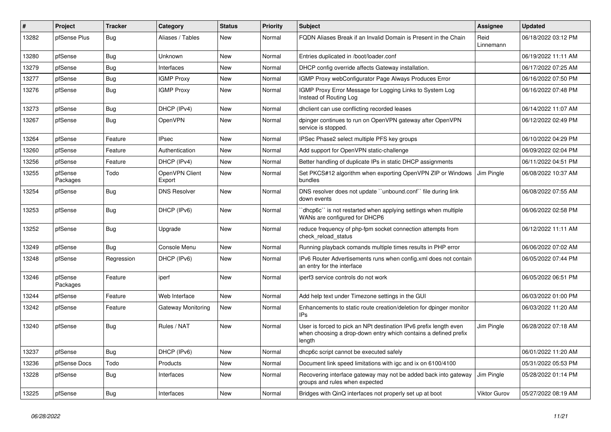| #     | <b>Project</b>      | <b>Tracker</b> | Category                 | <b>Status</b> | <b>Priority</b> | <b>Subject</b>                                                                                                                                 | Assignee          | <b>Updated</b>      |
|-------|---------------------|----------------|--------------------------|---------------|-----------------|------------------------------------------------------------------------------------------------------------------------------------------------|-------------------|---------------------|
| 13282 | pfSense Plus        | <b>Bug</b>     | Aliases / Tables         | <b>New</b>    | Normal          | FQDN Aliases Break if an Invalid Domain is Present in the Chain                                                                                | Reid<br>Linnemann | 06/18/2022 03:12 PM |
| 13280 | pfSense             | Bug            | Unknown                  | <b>New</b>    | Normal          | Entries duplicated in /boot/loader.conf                                                                                                        |                   | 06/19/2022 11:11 AM |
| 13279 | pfSense             | Bug            | Interfaces               | <b>New</b>    | Normal          | DHCP config override affects Gateway installation.                                                                                             |                   | 06/17/2022 07:25 AM |
| 13277 | pfSense             | Bug            | <b>IGMP Proxy</b>        | <b>New</b>    | Normal          | IGMP Proxy webConfigurator Page Always Produces Error                                                                                          |                   | 06/16/2022 07:50 PM |
| 13276 | pfSense             | Bug            | <b>IGMP Proxy</b>        | New           | Normal          | IGMP Proxy Error Message for Logging Links to System Log<br>Instead of Routing Log                                                             |                   | 06/16/2022 07:48 PM |
| 13273 | pfSense             | Bug            | DHCP (IPv4)              | New           | Normal          | dhclient can use conflicting recorded leases                                                                                                   |                   | 06/14/2022 11:07 AM |
| 13267 | pfSense             | <b>Bug</b>     | <b>OpenVPN</b>           | New           | Normal          | dpinger continues to run on OpenVPN gateway after OpenVPN<br>service is stopped.                                                               |                   | 06/12/2022 02:49 PM |
| 13264 | pfSense             | Feature        | <b>IPsec</b>             | New           | Normal          | IPSec Phase2 select multiple PFS key groups                                                                                                    |                   | 06/10/2022 04:29 PM |
| 13260 | pfSense             | Feature        | Authentication           | <b>New</b>    | Normal          | Add support for OpenVPN static-challenge                                                                                                       |                   | 06/09/2022 02:04 PM |
| 13256 | pfSense             | Feature        | DHCP (IPv4)              | <b>New</b>    | Normal          | Better handling of duplicate IPs in static DHCP assignments                                                                                    |                   | 06/11/2022 04:51 PM |
| 13255 | pfSense<br>Packages | Todo           | OpenVPN Client<br>Export | New           | Normal          | Set PKCS#12 algorithm when exporting OpenVPN ZIP or Windows<br>bundles                                                                         | Jim Pingle        | 06/08/2022 10:37 AM |
| 13254 | pfSense             | Bug            | <b>DNS Resolver</b>      | New           | Normal          | DNS resolver does not update "unbound.conf" file during link<br>down events                                                                    |                   | 06/08/2022 07:55 AM |
| 13253 | pfSense             | Bug            | DHCP (IPv6)              | <b>New</b>    | Normal          | dhcp6c" is not restarted when applying settings when multiple<br>WANs are configured for DHCP6                                                 |                   | 06/06/2022 02:58 PM |
| 13252 | pfSense             | <b>Bug</b>     | Upgrade                  | New           | Normal          | reduce frequency of php-fpm socket connection attempts from<br>check reload status                                                             |                   | 06/12/2022 11:11 AM |
| 13249 | pfSense             | Bug            | Console Menu             | New           | Normal          | Running playback comands multiple times results in PHP error                                                                                   |                   | 06/06/2022 07:02 AM |
| 13248 | pfSense             | Regression     | DHCP (IPv6)              | New           | Normal          | IPv6 Router Advertisements runs when config.xml does not contain<br>an entry for the interface                                                 |                   | 06/05/2022 07:44 PM |
| 13246 | pfSense<br>Packages | Feature        | iperf                    | <b>New</b>    | Normal          | iperf3 service controls do not work                                                                                                            |                   | 06/05/2022 06:51 PM |
| 13244 | pfSense             | Feature        | Web Interface            | New           | Normal          | Add help text under Timezone settings in the GUI                                                                                               |                   | 06/03/2022 01:00 PM |
| 13242 | pfSense             | Feature        | Gateway Monitoring       | <b>New</b>    | Normal          | Enhancements to static route creation/deletion for dpinger monitor<br><b>IPs</b>                                                               |                   | 06/03/2022 11:20 AM |
| 13240 | pfSense             | Bug            | Rules / NAT              | New           | Normal          | User is forced to pick an NPt destination IPv6 prefix length even<br>when choosing a drop-down entry which contains a defined prefix<br>length | Jim Pingle        | 06/28/2022 07:18 AM |
| 13237 | pfSense             | Bug            | DHCP (IPv6)              | <b>New</b>    | Normal          | dhcp6c script cannot be executed safely                                                                                                        |                   | 06/01/2022 11:20 AM |
| 13236 | pfSense Docs        | Todo           | Products                 | <b>New</b>    | Normal          | Document link speed limitations with igc and ix on 6100/4100                                                                                   |                   | 05/31/2022 05:53 PM |
| 13228 | pfSense             | Bug            | Interfaces               | <b>New</b>    | Normal          | Recovering interface gateway may not be added back into gateway<br>groups and rules when expected                                              | Jim Pingle        | 05/28/2022 01:14 PM |
| 13225 | pfSense             | Bug            | Interfaces               | <b>New</b>    | Normal          | Bridges with QinQ interfaces not properly set up at boot                                                                                       | Viktor Gurov      | 05/27/2022 08:19 AM |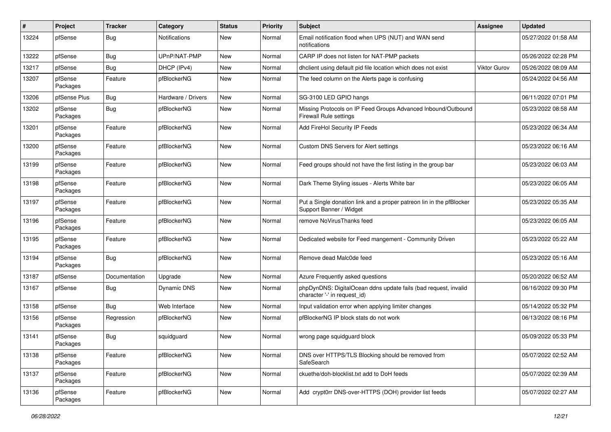| #     | Project             | <b>Tracker</b> | Category           | <b>Status</b> | <b>Priority</b> | <b>Subject</b>                                                                                  | <b>Assignee</b>     | <b>Updated</b>      |
|-------|---------------------|----------------|--------------------|---------------|-----------------|-------------------------------------------------------------------------------------------------|---------------------|---------------------|
| 13224 | pfSense             | Bug            | Notifications      | New           | Normal          | Email notification flood when UPS (NUT) and WAN send<br>notifications                           |                     | 05/27/2022 01:58 AM |
| 13222 | pfSense             | Bug            | UPnP/NAT-PMP       | New           | Normal          | CARP IP does not listen for NAT-PMP packets                                                     |                     | 05/26/2022 02:28 PM |
| 13217 | pfSense             | <b>Bug</b>     | DHCP (IPv4)        | New           | Normal          | dhclient using default pid file location which does not exist                                   | <b>Viktor Gurov</b> | 05/26/2022 08:09 AM |
| 13207 | pfSense<br>Packages | Feature        | pfBlockerNG        | New           | Normal          | The feed column on the Alerts page is confusing                                                 |                     | 05/24/2022 04:56 AM |
| 13206 | pfSense Plus        | Bug            | Hardware / Drivers | New           | Normal          | SG-3100 LED GPIO hangs                                                                          |                     | 06/11/2022 07:01 PM |
| 13202 | pfSense<br>Packages | Bug            | pfBlockerNG        | <b>New</b>    | Normal          | Missing Protocols on IP Feed Groups Advanced Inbound/Outbound<br>Firewall Rule settings         |                     | 05/23/2022 08:58 AM |
| 13201 | pfSense<br>Packages | Feature        | pfBlockerNG        | New           | Normal          | Add FireHol Security IP Feeds                                                                   |                     | 05/23/2022 06:34 AM |
| 13200 | pfSense<br>Packages | Feature        | pfBlockerNG        | New           | Normal          | Custom DNS Servers for Alert settings                                                           |                     | 05/23/2022 06:16 AM |
| 13199 | pfSense<br>Packages | Feature        | pfBlockerNG        | New           | Normal          | Feed groups should not have the first listing in the group bar                                  |                     | 05/23/2022 06:03 AM |
| 13198 | pfSense<br>Packages | Feature        | pfBlockerNG        | New           | Normal          | Dark Theme Styling issues - Alerts White bar                                                    |                     | 05/23/2022 06:05 AM |
| 13197 | pfSense<br>Packages | Feature        | pfBlockerNG        | New           | Normal          | Put a Single donation link and a proper patreon lin in the pfBlocker<br>Support Banner / Widget |                     | 05/23/2022 05:35 AM |
| 13196 | pfSense<br>Packages | Feature        | pfBlockerNG        | New           | Normal          | remove NoVirusThanks feed                                                                       |                     | 05/23/2022 06:05 AM |
| 13195 | pfSense<br>Packages | Feature        | pfBlockerNG        | New           | Normal          | Dedicated website for Feed mangement - Community Driven                                         |                     | 05/23/2022 05:22 AM |
| 13194 | pfSense<br>Packages | <b>Bug</b>     | pfBlockerNG        | New           | Normal          | Remove dead Malc0de feed                                                                        |                     | 05/23/2022 05:16 AM |
| 13187 | pfSense             | Documentation  | Upgrade            | New           | Normal          | Azure Frequently asked questions                                                                |                     | 05/20/2022 06:52 AM |
| 13167 | pfSense             | Bug            | <b>Dynamic DNS</b> | New           | Normal          | phpDynDNS: DigitalOcean ddns update fails (bad request, invalid<br>character '-' in request_id) |                     | 06/16/2022 09:30 PM |
| 13158 | pfSense             | Bug            | Web Interface      | New           | Normal          | Input validation error when applying limiter changes                                            |                     | 05/14/2022 05:32 PM |
| 13156 | pfSense<br>Packages | Regression     | pfBlockerNG        | New           | Normal          | pfBlockerNG IP block stats do not work                                                          |                     | 06/13/2022 08:16 PM |
| 13141 | pfSense<br>Packages | Bug            | squidguard         | New           | Normal          | wrong page squidguard block                                                                     |                     | 05/09/2022 05:33 PM |
| 13138 | pfSense<br>Packages | Feature        | pfBlockerNG        | <b>New</b>    | Normal          | DNS over HTTPS/TLS Blocking should be removed from<br>SafeSearch                                |                     | 05/07/2022 02:52 AM |
| 13137 | pfSense<br>Packages | Feature        | pfBlockerNG        | New           | Normal          | ckuethe/doh-blocklist.txt add to DoH feeds                                                      |                     | 05/07/2022 02:39 AM |
| 13136 | pfSense<br>Packages | Feature        | pfBlockerNG        | New           | Normal          | Add crypt0rr DNS-over-HTTPS (DOH) provider list feeds                                           |                     | 05/07/2022 02:27 AM |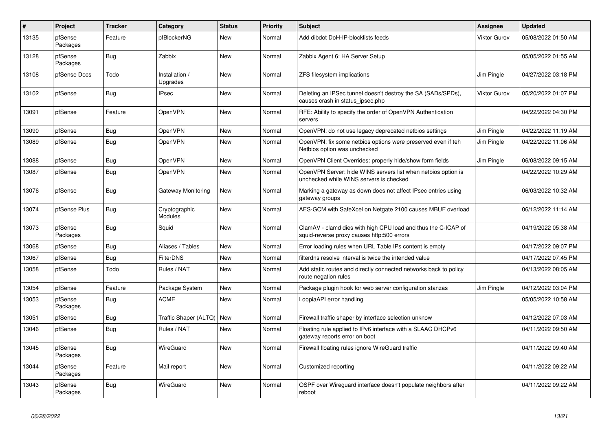| #     | Project             | <b>Tracker</b> | Category                    | <b>Status</b> | <b>Priority</b> | <b>Subject</b>                                                                                              | <b>Assignee</b> | <b>Updated</b>      |
|-------|---------------------|----------------|-----------------------------|---------------|-----------------|-------------------------------------------------------------------------------------------------------------|-----------------|---------------------|
| 13135 | pfSense<br>Packages | Feature        | pfBlockerNG                 | <b>New</b>    | Normal          | Add dibdot DoH-IP-blocklists feeds                                                                          | Viktor Gurov    | 05/08/2022 01:50 AM |
| 13128 | pfSense<br>Packages | Bug            | Zabbix                      | <b>New</b>    | Normal          | Zabbix Agent 6: HA Server Setup                                                                             |                 | 05/05/2022 01:55 AM |
| 13108 | pfSense Docs        | Todo           | Installation /<br>Upgrades  | <b>New</b>    | Normal          | ZFS filesystem implications                                                                                 | Jim Pingle      | 04/27/2022 03:18 PM |
| 13102 | pfSense             | <b>Bug</b>     | <b>IPsec</b>                | <b>New</b>    | Normal          | Deleting an IPSec tunnel doesn't destroy the SA (SADs/SPDs),<br>causes crash in status_ipsec.php            | Viktor Gurov    | 05/20/2022 01:07 PM |
| 13091 | pfSense             | Feature        | OpenVPN                     | <b>New</b>    | Normal          | RFE: Ability to specify the order of OpenVPN Authentication<br>servers                                      |                 | 04/22/2022 04:30 PM |
| 13090 | pfSense             | <b>Bug</b>     | OpenVPN                     | <b>New</b>    | Normal          | OpenVPN: do not use legacy deprecated netbios settings                                                      | Jim Pingle      | 04/22/2022 11:19 AM |
| 13089 | pfSense             | <b>Bug</b>     | OpenVPN                     | New           | Normal          | OpenVPN: fix some netbios options were preserved even if teh<br>Netbios option was unchecked                | Jim Pingle      | 04/22/2022 11:06 AM |
| 13088 | pfSense             | Bug            | OpenVPN                     | <b>New</b>    | Normal          | OpenVPN Client Overrides: properly hide/show form fields                                                    | Jim Pingle      | 06/08/2022 09:15 AM |
| 13087 | pfSense             | <b>Bug</b>     | OpenVPN                     | <b>New</b>    | Normal          | OpenVPN Server: hide WINS servers list when netbios option is<br>unchecked while WINS servers is checked    |                 | 04/22/2022 10:29 AM |
| 13076 | pfSense             | Bug            | Gateway Monitoring          | <b>New</b>    | Normal          | Marking a gateway as down does not affect IPsec entries using<br>gateway groups                             |                 | 06/03/2022 10:32 AM |
| 13074 | pfSense Plus        | Bug            | Cryptographic<br>Modules    | <b>New</b>    | Normal          | AES-GCM with SafeXcel on Netgate 2100 causes MBUF overload                                                  |                 | 06/12/2022 11:14 AM |
| 13073 | pfSense<br>Packages | <b>Bug</b>     | Squid                       | <b>New</b>    | Normal          | ClamAV - clamd dies with high CPU load and thus the C-ICAP of<br>squid-reverse proxy causes http:500 errors |                 | 04/19/2022 05:38 AM |
| 13068 | pfSense             | Bug            | Aliases / Tables            | <b>New</b>    | Normal          | Error loading rules when URL Table IPs content is empty                                                     |                 | 04/17/2022 09:07 PM |
| 13067 | pfSense             | <b>Bug</b>     | <b>FilterDNS</b>            | <b>New</b>    | Normal          | filterdns resolve interval is twice the intended value                                                      |                 | 04/17/2022 07:45 PM |
| 13058 | pfSense             | Todo           | Rules / NAT                 | <b>New</b>    | Normal          | Add static routes and directly connected networks back to policy<br>route negation rules                    |                 | 04/13/2022 08:05 AM |
| 13054 | pfSense             | Feature        | Package System              | <b>New</b>    | Normal          | Package plugin hook for web server configuration stanzas                                                    | Jim Pingle      | 04/12/2022 03:04 PM |
| 13053 | pfSense<br>Packages | <b>Bug</b>     | <b>ACME</b>                 | <b>New</b>    | Normal          | LoopiaAPI error handling                                                                                    |                 | 05/05/2022 10:58 AM |
| 13051 | pfSense             | Bug            | Traffic Shaper (ALTQ)   New |               | Normal          | Firewall traffic shaper by interface selection unknow                                                       |                 | 04/12/2022 07:03 AM |
| 13046 | pfSense             | Bug            | Rules / NAT                 | <b>New</b>    | Normal          | Floating rule applied to IPv6 interface with a SLAAC DHCPv6<br>gateway reports error on boot                |                 | 04/11/2022 09:50 AM |
| 13045 | pfSense<br>Packages | Bug            | WireGuard                   | <b>New</b>    | Normal          | Firewall floating rules ignore WireGuard traffic                                                            |                 | 04/11/2022 09:40 AM |
| 13044 | pfSense<br>Packages | Feature        | Mail report                 | <b>New</b>    | Normal          | Customized reporting                                                                                        |                 | 04/11/2022 09:22 AM |
| 13043 | pfSense<br>Packages | Bug            | WireGuard                   | <b>New</b>    | Normal          | OSPF over Wireguard interface doesn't populate neighbors after<br>reboot                                    |                 | 04/11/2022 09:22 AM |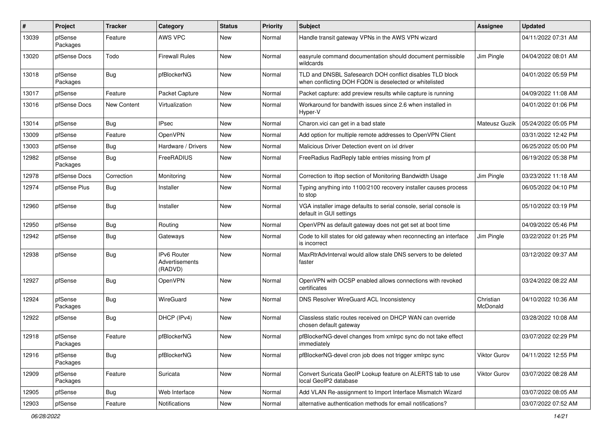| #     | Project             | <b>Tracker</b>     | Category                                 | <b>Status</b> | <b>Priority</b> | <b>Subject</b>                                                                                                     | Assignee              | <b>Updated</b>      |
|-------|---------------------|--------------------|------------------------------------------|---------------|-----------------|--------------------------------------------------------------------------------------------------------------------|-----------------------|---------------------|
| 13039 | pfSense<br>Packages | Feature            | <b>AWS VPC</b>                           | New           | Normal          | Handle transit gateway VPNs in the AWS VPN wizard                                                                  |                       | 04/11/2022 07:31 AM |
| 13020 | pfSense Docs        | Todo               | <b>Firewall Rules</b>                    | New           | Normal          | easyrule command documentation should document permissible<br>wildcards                                            | Jim Pingle            | 04/04/2022 08:01 AM |
| 13018 | pfSense<br>Packages | Bug                | pfBlockerNG                              | New           | Normal          | TLD and DNSBL Safesearch DOH conflict disables TLD block<br>when conflicting DOH FQDN is deselected or whitelisted |                       | 04/01/2022 05:59 PM |
| 13017 | pfSense             | Feature            | Packet Capture                           | New           | Normal          | Packet capture: add preview results while capture is running                                                       |                       | 04/09/2022 11:08 AM |
| 13016 | pfSense Docs        | <b>New Content</b> | Virtualization                           | New           | Normal          | Workaround for bandwith issues since 2.6 when installed in<br>Hyper-V                                              |                       | 04/01/2022 01:06 PM |
| 13014 | pfSense             | <b>Bug</b>         | <b>IPsec</b>                             | New           | Normal          | Charon.vici can get in a bad state                                                                                 | Mateusz Guzik         | 05/24/2022 05:05 PM |
| 13009 | pfSense             | Feature            | OpenVPN                                  | New           | Normal          | Add option for multiple remote addresses to OpenVPN Client                                                         |                       | 03/31/2022 12:42 PM |
| 13003 | pfSense             | Bug                | Hardware / Drivers                       | New           | Normal          | Malicious Driver Detection event on ixl driver                                                                     |                       | 06/25/2022 05:00 PM |
| 12982 | pfSense<br>Packages | Bug                | FreeRADIUS                               | New           | Normal          | FreeRadius RadReply table entries missing from pf                                                                  |                       | 06/19/2022 05:38 PM |
| 12978 | pfSense Docs        | Correction         | Monitoring                               | <b>New</b>    | Normal          | Correction to iftop section of Monitoring Bandwidth Usage                                                          | Jim Pingle            | 03/23/2022 11:18 AM |
| 12974 | pfSense Plus        | <b>Bug</b>         | Installer                                | New           | Normal          | Typing anything into 1100/2100 recovery installer causes process<br>to stop                                        |                       | 06/05/2022 04:10 PM |
| 12960 | pfSense             | Bug                | Installer                                | <b>New</b>    | Normal          | VGA installer image defaults to serial console, serial console is<br>default in GUI settings                       |                       | 05/10/2022 03:19 PM |
| 12950 | pfSense             | <b>Bug</b>         | Routing                                  | New           | Normal          | OpenVPN as default gateway does not get set at boot time                                                           |                       | 04/09/2022 05:46 PM |
| 12942 | pfSense             | <b>Bug</b>         | Gateways                                 | New           | Normal          | Code to kill states for old gateway when reconnecting an interface<br>is incorrect                                 | Jim Pingle            | 03/22/2022 01:25 PM |
| 12938 | pfSense             | <b>Bug</b>         | IPv6 Router<br>Advertisements<br>(RADVD) | New           | Normal          | MaxRtrAdvInterval would allow stale DNS servers to be deleted<br>faster                                            |                       | 03/12/2022 09:37 AM |
| 12927 | pfSense             | <b>Bug</b>         | OpenVPN                                  | New           | Normal          | OpenVPN with OCSP enabled allows connections with revoked<br>certificates                                          |                       | 03/24/2022 08:22 AM |
| 12924 | pfSense<br>Packages | <b>Bug</b>         | WireGuard                                | New           | Normal          | <b>DNS Resolver WireGuard ACL Inconsistency</b>                                                                    | Christian<br>McDonald | 04/10/2022 10:36 AM |
| 12922 | pfSense             | <b>Bug</b>         | DHCP (IPv4)                              | New           | Normal          | Classless static routes received on DHCP WAN can override<br>chosen default gateway                                |                       | 03/28/2022 10:08 AM |
| 12918 | pfSense<br>Packages | Feature            | pfBlockerNG                              | <b>New</b>    | Normal          | pfBlockerNG-devel changes from xmlrpc sync do not take effect<br>immediately                                       |                       | 03/07/2022 02:29 PM |
| 12916 | pfSense<br>Packages | <b>Bug</b>         | pfBlockerNG                              | New           | Normal          | pfBlockerNG-devel cron job does not trigger xmlrpc sync                                                            | <b>Viktor Gurov</b>   | 04/11/2022 12:55 PM |
| 12909 | pfSense<br>Packages | Feature            | Suricata                                 | New           | Normal          | Convert Suricata GeoIP Lookup feature on ALERTS tab to use<br>local GeoIP2 database                                | Viktor Gurov          | 03/07/2022 08:28 AM |
| 12905 | pfSense             | Bug                | Web Interface                            | New           | Normal          | Add VLAN Re-assignment to Import Interface Mismatch Wizard                                                         |                       | 03/07/2022 08:05 AM |
| 12903 | pfSense             | Feature            | Notifications                            | New           | Normal          | alternative authentication methods for email notifications?                                                        |                       | 03/07/2022 07:52 AM |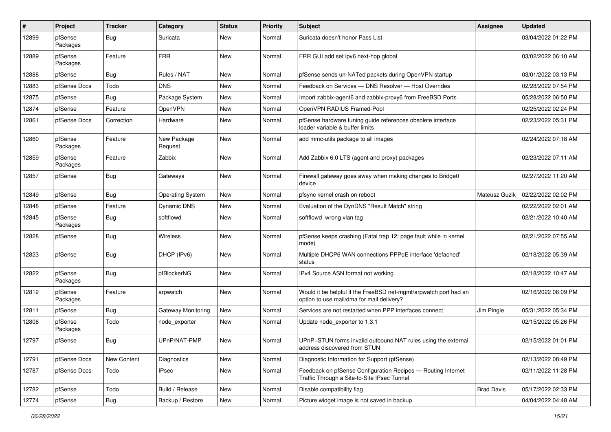| #     | Project             | <b>Tracker</b> | Category                  | <b>Status</b> | <b>Priority</b> | <b>Subject</b>                                                                                                | <b>Assignee</b>   | <b>Updated</b>      |
|-------|---------------------|----------------|---------------------------|---------------|-----------------|---------------------------------------------------------------------------------------------------------------|-------------------|---------------------|
| 12899 | pfSense<br>Packages | <b>Bug</b>     | Suricata                  | New           | Normal          | Suricata doesn't honor Pass List                                                                              |                   | 03/04/2022 01:22 PM |
| 12889 | pfSense<br>Packages | Feature        | <b>FRR</b>                | New           | Normal          | FRR GUI add set ipv6 next-hop global                                                                          |                   | 03/02/2022 06:10 AM |
| 12888 | pfSense             | Bug            | Rules / NAT               | <b>New</b>    | Normal          | pfSense sends un-NATed packets during OpenVPN startup                                                         |                   | 03/01/2022 03:13 PM |
| 12883 | pfSense Docs        | Todo           | <b>DNS</b>                | New           | Normal          | Feedback on Services - DNS Resolver - Host Overrides                                                          |                   | 02/28/2022 07:54 PM |
| 12875 | pfSense             | <b>Bug</b>     | Package System            | New           | Normal          | Import zabbix-agent6 and zabbix-proxy6 from FreeBSD Ports                                                     |                   | 05/28/2022 06:50 PM |
| 12874 | pfSense             | Feature        | OpenVPN                   | New           | Normal          | OpenVPN RADIUS Framed-Pool                                                                                    |                   | 02/25/2022 02:24 PM |
| 12861 | pfSense Docs        | Correction     | Hardware                  | New           | Normal          | pfSense hardware tuning guide references obsolete interface<br>loader variable & buffer limits                |                   | 02/23/2022 05:31 PM |
| 12860 | pfSense<br>Packages | Feature        | New Package<br>Request    | New           | Normal          | add mmc-utils package to all images                                                                           |                   | 02/24/2022 07:18 AM |
| 12859 | pfSense<br>Packages | Feature        | Zabbix                    | New           | Normal          | Add Zabbix 6.0 LTS (agent and proxy) packages                                                                 |                   | 02/23/2022 07:11 AM |
| 12857 | pfSense             | <b>Bug</b>     | Gateways                  | New           | Normal          | Firewall gateway goes away when making changes to Bridge0<br>device                                           |                   | 02/27/2022 11:20 AM |
| 12849 | pfSense             | Bug            | <b>Operating System</b>   | New           | Normal          | pfsync kernel crash on reboot                                                                                 | Mateusz Guzik     | 02/22/2022 02:02 PM |
| 12848 | pfSense             | Feature        | Dynamic DNS               | New           | Normal          | Evaluation of the DynDNS "Result Match" string                                                                |                   | 02/22/2022 02:01 AM |
| 12845 | pfSense<br>Packages | Bug            | softflowd                 | New           | Normal          | softflowd wrong vlan tag                                                                                      |                   | 02/21/2022 10:40 AM |
| 12828 | pfSense             | Bug            | Wireless                  | New           | Normal          | pfSense keeps crashing (Fatal trap 12: page fault while in kernel<br>mode)                                    |                   | 02/21/2022 07:55 AM |
| 12823 | pfSense             | <b>Bug</b>     | DHCP (IPv6)               | New           | Normal          | Multiple DHCP6 WAN connections PPPoE interface 'defached'<br>status                                           |                   | 02/18/2022 05:39 AM |
| 12822 | pfSense<br>Packages | <b>Bug</b>     | pfBlockerNG               | New           | Normal          | IPv4 Source ASN format not working                                                                            |                   | 02/18/2022 10:47 AM |
| 12812 | pfSense<br>Packages | Feature        | arpwatch                  | New           | Normal          | Would it be helpful if the FreeBSD net-mgmt/arpwatch port had an<br>option to use mail/dma for mail delivery? |                   | 02/16/2022 06:09 PM |
| 12811 | pfSense             | Bug            | <b>Gateway Monitoring</b> | New           | Normal          | Services are not restarted when PPP interfaces connect                                                        | Jim Pingle        | 05/31/2022 05:34 PM |
| 12806 | pfSense<br>Packages | Todo           | node exporter             | New           | Normal          | Update node_exporter to 1.3.1                                                                                 |                   | 02/15/2022 05:26 PM |
| 12797 | pfSense             | Bug            | UPnP/NAT-PMP              | New           | Normal          | UPnP+STUN forms invalid outbound NAT rules using the external<br>address discovered from STUN                 |                   | 02/15/2022 01:01 PM |
| 12791 | pfSense Docs        | New Content    | Diagnostics               | New           | Normal          | Diagnostic Information for Support (pfSense)                                                                  |                   | 02/13/2022 08:49 PM |
| 12787 | pfSense Docs        | Todo           | <b>IPsec</b>              | New           | Normal          | Feedback on pfSense Configuration Recipes - Routing Internet<br>Traffic Through a Site-to-Site IPsec Tunnel   |                   | 02/11/2022 11:28 PM |
| 12782 | pfSense             | Todo           | Build / Release           | New           | Normal          | Disable compatibility flag                                                                                    | <b>Brad Davis</b> | 05/17/2022 02:33 PM |
| 12774 | pfSense             | Bug            | Backup / Restore          | New           | Normal          | Picture widget image is not saved in backup                                                                   |                   | 04/04/2022 04:48 AM |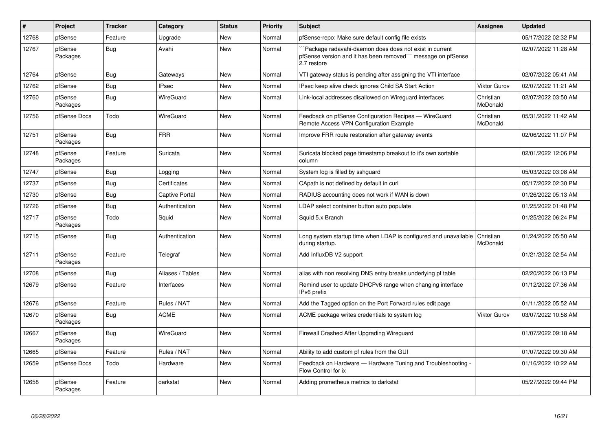| #     | Project             | <b>Tracker</b> | Category              | <b>Status</b> | Priority | <b>Subject</b>                                                                                                                         | Assignee              | <b>Updated</b>      |
|-------|---------------------|----------------|-----------------------|---------------|----------|----------------------------------------------------------------------------------------------------------------------------------------|-----------------------|---------------------|
| 12768 | pfSense             | Feature        | Upgrade               | New           | Normal   | pfSense-repo: Make sure default config file exists                                                                                     |                       | 05/17/2022 02:32 PM |
| 12767 | pfSense<br>Packages | Bug            | Avahi                 | <b>New</b>    | Normal   | Package radavahi-daemon does does not exist in current<br>pfSense version and it has been removed``` message on pfSense<br>2.7 restore |                       | 02/07/2022 11:28 AM |
| 12764 | pfSense             | Bug            | Gateways              | New           | Normal   | VTI gateway status is pending after assigning the VTI interface                                                                        |                       | 02/07/2022 05:41 AM |
| 12762 | pfSense             | Bug            | <b>IPsec</b>          | <b>New</b>    | Normal   | IPsec keep alive check ignores Child SA Start Action                                                                                   | <b>Viktor Gurov</b>   | 02/07/2022 11:21 AM |
| 12760 | pfSense<br>Packages | Bug            | WireGuard             | New           | Normal   | Link-local addresses disallowed on Wireguard interfaces                                                                                | Christian<br>McDonald | 02/07/2022 03:50 AM |
| 12756 | pfSense Docs        | Todo           | WireGuard             | New           | Normal   | Feedback on pfSense Configuration Recipes - WireGuard<br>Remote Access VPN Configuration Example                                       | Christian<br>McDonald | 05/31/2022 11:42 AM |
| 12751 | pfSense<br>Packages | Bug            | <b>FRR</b>            | <b>New</b>    | Normal   | Improve FRR route restoration after gateway events                                                                                     |                       | 02/06/2022 11:07 PM |
| 12748 | pfSense<br>Packages | Feature        | Suricata              | New           | Normal   | Suricata blocked page timestamp breakout to it's own sortable<br>column                                                                |                       | 02/01/2022 12:06 PM |
| 12747 | pfSense             | <b>Bug</b>     | Logging               | <b>New</b>    | Normal   | System log is filled by sshguard                                                                                                       |                       | 05/03/2022 03:08 AM |
| 12737 | pfSense             | Bug            | Certificates          | <b>New</b>    | Normal   | CApath is not defined by default in curl                                                                                               |                       | 05/17/2022 02:30 PM |
| 12730 | pfSense             | Bug            | <b>Captive Portal</b> | New           | Normal   | RADIUS accounting does not work if WAN is down                                                                                         |                       | 01/26/2022 05:13 AM |
| 12726 | pfSense             | <b>Bug</b>     | Authentication        | New           | Normal   | LDAP select container button auto populate                                                                                             |                       | 01/25/2022 01:48 PM |
| 12717 | pfSense<br>Packages | Todo           | Squid                 | New           | Normal   | Squid 5.x Branch                                                                                                                       |                       | 01/25/2022 06:24 PM |
| 12715 | pfSense             | Bug            | Authentication        | New           | Normal   | Long system startup time when LDAP is configured and unavailable<br>during startup.                                                    | Christian<br>McDonald | 01/24/2022 05:50 AM |
| 12711 | pfSense<br>Packages | Feature        | Telegraf              | <b>New</b>    | Normal   | Add InfluxDB V2 support                                                                                                                |                       | 01/21/2022 02:54 AM |
| 12708 | pfSense             | <b>Bug</b>     | Aliases / Tables      | <b>New</b>    | Normal   | alias with non resolving DNS entry breaks underlying pf table                                                                          |                       | 02/20/2022 06:13 PM |
| 12679 | pfSense             | Feature        | <b>Interfaces</b>     | <b>New</b>    | Normal   | Remind user to update DHCPv6 range when changing interface<br>IPv6 prefix                                                              |                       | 01/12/2022 07:36 AM |
| 12676 | pfSense             | Feature        | Rules / NAT           | <b>New</b>    | Normal   | Add the Tagged option on the Port Forward rules edit page                                                                              |                       | 01/11/2022 05:52 AM |
| 12670 | pfSense<br>Packages | Bug            | <b>ACME</b>           | New           | Normal   | ACME package writes credentials to system log                                                                                          | <b>Viktor Gurov</b>   | 03/07/2022 10:58 AM |
| 12667 | pfSense<br>Packages | Bug            | WireGuard             | <b>New</b>    | Normal   | Firewall Crashed After Upgrading Wireguard                                                                                             |                       | 01/07/2022 09:18 AM |
| 12665 | pfSense             | Feature        | Rules / NAT           | <b>New</b>    | Normal   | Ability to add custom pf rules from the GUI                                                                                            |                       | 01/07/2022 09:30 AM |
| 12659 | pfSense Docs        | Todo           | Hardware              | <b>New</b>    | Normal   | Feedback on Hardware - Hardware Tuning and Troubleshooting -<br>Flow Control for ix                                                    |                       | 01/16/2022 10:22 AM |
| 12658 | pfSense<br>Packages | Feature        | darkstat              | <b>New</b>    | Normal   | Adding prometheus metrics to darkstat                                                                                                  |                       | 05/27/2022 09:44 PM |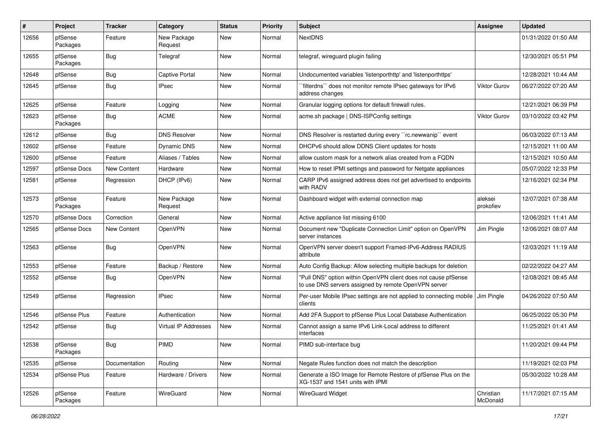| #     | Project             | <b>Tracker</b>     | Category               | <b>Status</b> | <b>Priority</b> | Subject                                                                                                                | <b>Assignee</b>       | <b>Updated</b>      |
|-------|---------------------|--------------------|------------------------|---------------|-----------------|------------------------------------------------------------------------------------------------------------------------|-----------------------|---------------------|
| 12656 | pfSense<br>Packages | Feature            | New Package<br>Request | <b>New</b>    | Normal          | <b>NextDNS</b>                                                                                                         |                       | 01/31/2022 01:50 AM |
| 12655 | pfSense<br>Packages | <b>Bug</b>         | Telegraf               | New           | Normal          | telegraf, wireguard plugin failing                                                                                     |                       | 12/30/2021 05:51 PM |
| 12648 | pfSense             | Bug                | <b>Captive Portal</b>  | <b>New</b>    | Normal          | Undocumented variables 'listenporthttp' and 'listenporthttps'                                                          |                       | 12/28/2021 10:44 AM |
| 12645 | pfSense             | <b>Bug</b>         | <b>IPsec</b>           | New           | Normal          | filterdns" does not monitor remote IPsec gateways for IPv6<br>address changes                                          | Viktor Gurov          | 06/27/2022 07:20 AM |
| 12625 | pfSense             | Feature            | Logging                | New           | Normal          | Granular logging options for default firewall rules.                                                                   |                       | 12/21/2021 06:39 PM |
| 12623 | pfSense<br>Packages | <b>Bug</b>         | <b>ACME</b>            | New           | Normal          | acme.sh package   DNS-ISPConfig settings                                                                               | Viktor Gurov          | 03/10/2022 03:42 PM |
| 12612 | pfSense             | <b>Bug</b>         | <b>DNS Resolver</b>    | <b>New</b>    | Normal          | DNS Resolver is restarted during every "rc.newwanip" event                                                             |                       | 06/03/2022 07:13 AM |
| 12602 | pfSense             | Feature            | Dynamic DNS            | New           | Normal          | DHCPv6 should allow DDNS Client updates for hosts                                                                      |                       | 12/15/2021 11:00 AM |
| 12600 | pfSense             | Feature            | Aliases / Tables       | New           | Normal          | allow custom mask for a network alias created from a FQDN                                                              |                       | 12/15/2021 10:50 AM |
| 12597 | pfSense Docs        | New Content        | Hardware               | New           | Normal          | How to reset IPMI settings and password for Netgate appliances                                                         |                       | 05/07/2022 12:33 PM |
| 12581 | pfSense             | Regression         | DHCP (IPv6)            | <b>New</b>    | Normal          | CARP IPv6 assigned address does not get advertised to endpoints<br>with RADV                                           |                       | 12/16/2021 02:34 PM |
| 12573 | pfSense<br>Packages | Feature            | New Package<br>Request | <b>New</b>    | Normal          | Dashboard widget with external connection map                                                                          | aleksei<br>prokofiev  | 12/07/2021 07:38 AM |
| 12570 | pfSense Docs        | Correction         | General                | New           | Normal          | Active appliance list missing 6100                                                                                     |                       | 12/06/2021 11:41 AM |
| 12565 | pfSense Docs        | <b>New Content</b> | OpenVPN                | New           | Normal          | Document new "Duplicate Connection Limit" option on OpenVPN<br>server instances                                        | Jim Pingle            | 12/06/2021 08:07 AM |
| 12563 | pfSense             | <b>Bug</b>         | OpenVPN                | <b>New</b>    | Normal          | OpenVPN server doesn't support Framed-IPv6-Address RADIUS<br>attribute                                                 |                       | 12/03/2021 11:19 AM |
| 12553 | pfSense             | Feature            | Backup / Restore       | <b>New</b>    | Normal          | Auto Config Backup: Allow selecting multiple backups for deletion                                                      |                       | 02/22/2022 04:27 AM |
| 12552 | pfSense             | Bug                | OpenVPN                | New           | Normal          | "Pull DNS" option within OpenVPN client does not cause pfSense<br>to use DNS servers assigned by remote OpenVPN server |                       | 12/08/2021 08:45 AM |
| 12549 | pfSense             | Regression         | <b>IPsec</b>           | New           | Normal          | Per-user Mobile IPsec settings are not applied to connecting mobile   Jim Pingle<br>clients                            |                       | 04/26/2022 07:50 AM |
| 12546 | pfSense Plus        | Feature            | Authentication         | New           | Normal          | Add 2FA Support to pfSense Plus Local Database Authentication                                                          |                       | 06/25/2022 05:30 PM |
| 12542 | pfSense             | <b>Bug</b>         | Virtual IP Addresses   | New           | Normal          | Cannot assign a same IPv6 Link-Local address to different<br>interfaces                                                |                       | 11/25/2021 01:41 AM |
| 12538 | pfSense<br>Packages | Bug                | PIMD                   | New           | Normal          | PIMD sub-interface bug                                                                                                 |                       | 11/20/2021 09:44 PM |
| 12535 | pfSense             | Documentation      | Routing                | New           | Normal          | Negate Rules function does not match the description                                                                   |                       | 11/19/2021 02:03 PM |
| 12534 | pfSense Plus        | Feature            | Hardware / Drivers     | New           | Normal          | Generate a ISO Image for Remote Restore of pfSense Plus on the<br>XG-1537 and 1541 units with IPMI                     |                       | 05/30/2022 10:28 AM |
| 12526 | pfSense<br>Packages | Feature            | WireGuard              | New           | Normal          | <b>WireGuard Widget</b>                                                                                                | Christian<br>McDonald | 11/17/2021 07:15 AM |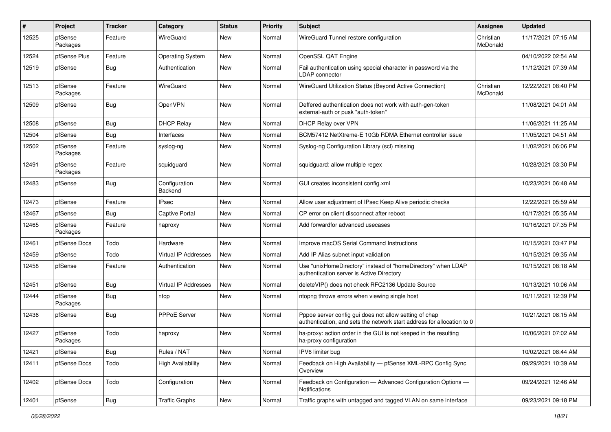| #     | Project             | <b>Tracker</b> | Category                 | <b>Status</b> | <b>Priority</b> | <b>Subject</b>                                                                                                                   | Assignee              | <b>Updated</b>      |
|-------|---------------------|----------------|--------------------------|---------------|-----------------|----------------------------------------------------------------------------------------------------------------------------------|-----------------------|---------------------|
| 12525 | pfSense<br>Packages | Feature        | WireGuard                | New           | Normal          | WireGuard Tunnel restore configuration                                                                                           | Christian<br>McDonald | 11/17/2021 07:15 AM |
| 12524 | pfSense Plus        | Feature        | <b>Operating System</b>  | New           | Normal          | OpenSSL QAT Engine                                                                                                               |                       | 04/10/2022 02:54 AM |
| 12519 | pfSense             | Bug            | Authentication           | New           | Normal          | Fail authentication using special character in password via the<br><b>LDAP</b> connector                                         |                       | 11/12/2021 07:39 AM |
| 12513 | pfSense<br>Packages | Feature        | WireGuard                | <b>New</b>    | Normal          | WireGuard Utilization Status (Beyond Active Connection)                                                                          | Christian<br>McDonald | 12/22/2021 08:40 PM |
| 12509 | pfSense             | <b>Bug</b>     | OpenVPN                  | New           | Normal          | Deffered authentication does not work with auth-gen-token<br>external-auth or pusk "auth-token"                                  |                       | 11/08/2021 04:01 AM |
| 12508 | pfSense             | <b>Bug</b>     | <b>DHCP Relay</b>        | <b>New</b>    | Normal          | DHCP Relay over VPN                                                                                                              |                       | 11/06/2021 11:25 AM |
| 12504 | pfSense             | Bug            | Interfaces               | New           | Normal          | BCM57412 NetXtreme-E 10Gb RDMA Ethernet controller issue                                                                         |                       | 11/05/2021 04:51 AM |
| 12502 | pfSense<br>Packages | Feature        | syslog-ng                | New           | Normal          | Syslog-ng Configuration Library (scl) missing                                                                                    |                       | 11/02/2021 06:06 PM |
| 12491 | pfSense<br>Packages | Feature        | squidguard               | <b>New</b>    | Normal          | squidquard: allow multiple regex                                                                                                 |                       | 10/28/2021 03:30 PM |
| 12483 | pfSense             | <b>Bug</b>     | Configuration<br>Backend | New           | Normal          | GUI creates inconsistent config.xml                                                                                              |                       | 10/23/2021 06:48 AM |
| 12473 | pfSense             | Feature        | <b>IPsec</b>             | <b>New</b>    | Normal          | Allow user adjustment of IPsec Keep Alive periodic checks                                                                        |                       | 12/22/2021 05:59 AM |
| 12467 | pfSense             | <b>Bug</b>     | <b>Captive Portal</b>    | New           | Normal          | CP error on client disconnect after reboot                                                                                       |                       | 10/17/2021 05:35 AM |
| 12465 | pfSense<br>Packages | Feature        | haproxy                  | New           | Normal          | Add forwardfor advanced usecases                                                                                                 |                       | 10/16/2021 07:35 PM |
| 12461 | pfSense Docs        | Todo           | Hardware                 | <b>New</b>    | Normal          | Improve macOS Serial Command Instructions                                                                                        |                       | 10/15/2021 03:47 PM |
| 12459 | pfSense             | Todo           | Virtual IP Addresses     | New           | Normal          | Add IP Alias subnet input validation                                                                                             |                       | 10/15/2021 09:35 AM |
| 12458 | pfSense             | Feature        | Authentication           | New           | Normal          | Use "unixHomeDirectory" instead of "homeDirectory" when LDAP<br>authentication server is Active Directory                        |                       | 10/15/2021 08:18 AM |
| 12451 | pfSense             | <b>Bug</b>     | Virtual IP Addresses     | New           | Normal          | deleteVIP() does not check RFC2136 Update Source                                                                                 |                       | 10/13/2021 10:06 AM |
| 12444 | pfSense<br>Packages | <b>Bug</b>     | ntop                     | New           | Normal          | ntopng throws errors when viewing single host                                                                                    |                       | 10/11/2021 12:39 PM |
| 12436 | pfSense             | <b>Bug</b>     | PPPoE Server             | New           | Normal          | Pppoe server config gui does not allow setting of chap<br>authentication, and sets the network start address for allocation to 0 |                       | 10/21/2021 08:15 AM |
| 12427 | pfSense<br>Packages | Todo           | haproxy                  | New           | Normal          | ha-proxy: action order in the GUI is not keeped in the resulting<br>ha-proxy configuration                                       |                       | 10/06/2021 07:02 AM |
| 12421 | pfSense             | <b>Bug</b>     | Rules / NAT              | New           | Normal          | IPV6 limiter bug                                                                                                                 |                       | 10/02/2021 08:44 AM |
| 12411 | pfSense Docs        | Todo           | <b>High Availability</b> | New           | Normal          | Feedback on High Availability - pfSense XML-RPC Config Sync<br>Overview                                                          |                       | 09/29/2021 10:39 AM |
| 12402 | pfSense Docs        | Todo           | Configuration            | New           | Normal          | Feedback on Configuration - Advanced Configuration Options -<br>Notifications                                                    |                       | 09/24/2021 12:46 AM |
| 12401 | pfSense             | <b>Bug</b>     | <b>Traffic Graphs</b>    | New           | Normal          | Traffic graphs with untagged and tagged VLAN on same interface                                                                   |                       | 09/23/2021 09:18 PM |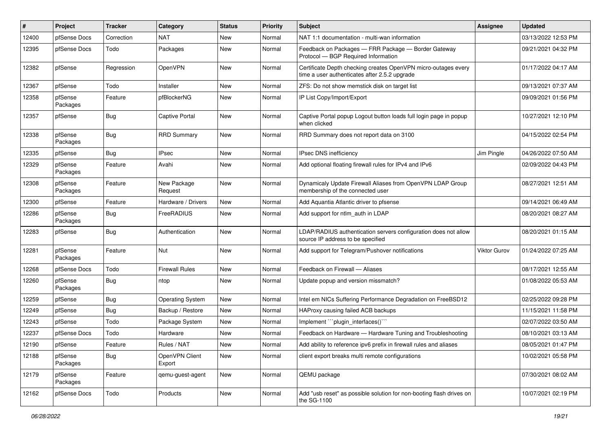| ∦     | Project             | <b>Tracker</b> | Category                 | <b>Status</b> | <b>Priority</b> | Subject                                                                                                         | <b>Assignee</b>     | <b>Updated</b>      |
|-------|---------------------|----------------|--------------------------|---------------|-----------------|-----------------------------------------------------------------------------------------------------------------|---------------------|---------------------|
| 12400 | pfSense Docs        | Correction     | <b>NAT</b>               | New           | Normal          | NAT 1:1 documentation - multi-wan information                                                                   |                     | 03/13/2022 12:53 PM |
| 12395 | pfSense Docs        | Todo           | Packages                 | New           | Normal          | Feedback on Packages - FRR Package - Border Gateway<br>Protocol - BGP Required Information                      |                     | 09/21/2021 04:32 PM |
| 12382 | pfSense             | Regression     | OpenVPN                  | New           | Normal          | Certificate Depth checking creates OpenVPN micro-outages every<br>time a user authenticates after 2.5.2 upgrade |                     | 01/17/2022 04:17 AM |
| 12367 | pfSense             | Todo           | Installer                | New           | Normal          | ZFS: Do not show memstick disk on target list                                                                   |                     | 09/13/2021 07:37 AM |
| 12358 | pfSense<br>Packages | Feature        | pfBlockerNG              | New           | Normal          | IP List Copy/Import/Export                                                                                      |                     | 09/09/2021 01:56 PM |
| 12357 | pfSense             | <b>Bug</b>     | <b>Captive Portal</b>    | New           | Normal          | Captive Portal popup Logout button loads full login page in popup<br>when clicked                               |                     | 10/27/2021 12:10 PM |
| 12338 | pfSense<br>Packages | Bug            | <b>RRD Summary</b>       | <b>New</b>    | Normal          | RRD Summary does not report data on 3100                                                                        |                     | 04/15/2022 02:54 PM |
| 12335 | pfSense             | Bug            | <b>IPsec</b>             | <b>New</b>    | Normal          | IPsec DNS inefficiency                                                                                          | Jim Pingle          | 04/26/2022 07:50 AM |
| 12329 | pfSense<br>Packages | Feature        | Avahi                    | New           | Normal          | Add optional floating firewall rules for IPv4 and IPv6                                                          |                     | 02/09/2022 04:43 PM |
| 12308 | pfSense<br>Packages | Feature        | New Package<br>Request   | New           | Normal          | Dynamicaly Update Firewall Aliases from OpenVPN LDAP Group<br>membership of the connected user                  |                     | 08/27/2021 12:51 AM |
| 12300 | pfSense             | Feature        | Hardware / Drivers       | <b>New</b>    | Normal          | Add Aquantia Atlantic driver to pfsense                                                                         |                     | 09/14/2021 06:49 AM |
| 12286 | pfSense<br>Packages | Bug            | FreeRADIUS               | New           | Normal          | Add support for ntlm_auth in LDAP                                                                               |                     | 08/20/2021 08:27 AM |
| 12283 | pfSense             | Bug            | Authentication           | <b>New</b>    | Normal          | LDAP/RADIUS authentication servers configuration does not allow<br>source IP address to be specified            |                     | 08/20/2021 01:15 AM |
| 12281 | pfSense<br>Packages | Feature        | Nut                      | <b>New</b>    | Normal          | Add support for Telegram/Pushover notifications                                                                 | <b>Viktor Gurov</b> | 01/24/2022 07:25 AM |
| 12268 | pfSense Docs        | Todo           | <b>Firewall Rules</b>    | New           | Normal          | Feedback on Firewall - Aliases                                                                                  |                     | 08/17/2021 12:55 AM |
| 12260 | pfSense<br>Packages | <b>Bug</b>     | ntop                     | New           | Normal          | Update popup and version missmatch?                                                                             |                     | 01/08/2022 05:53 AM |
| 12259 | pfSense             | Bug            | <b>Operating System</b>  | New           | Normal          | Intel em NICs Suffering Performance Degradation on FreeBSD12                                                    |                     | 02/25/2022 09:28 PM |
| 12249 | pfSense             | Bug            | Backup / Restore         | New           | Normal          | HAProxy causing failed ACB backups                                                                              |                     | 11/15/2021 11:58 PM |
| 12243 | pfSense             | Todo           | Package System           | <b>New</b>    | Normal          | Implement "``plugin_interfaces()``                                                                              |                     | 02/07/2022 03:50 AM |
| 12237 | pfSense Docs        | Todo           | Hardware                 | New           | Normal          | Feedback on Hardware - Hardware Tuning and Troubleshooting                                                      |                     | 08/10/2021 03:13 AM |
| 12190 | pfSense             | Feature        | Rules / NAT              | New           | Normal          | Add ability to reference ipv6 prefix in firewall rules and aliases                                              |                     | 08/05/2021 01:47 PM |
| 12188 | pfSense<br>Packages | Bug            | OpenVPN Client<br>Export | New           | Normal          | client export breaks multi remote configurations                                                                |                     | 10/02/2021 05:58 PM |
| 12179 | pfSense<br>Packages | Feature        | qemu-guest-agent         | New           | Normal          | QEMU package                                                                                                    |                     | 07/30/2021 08:02 AM |
| 12162 | pfSense Docs        | Todo           | Products                 | New           | Normal          | Add "usb reset" as possible solution for non-booting flash drives on<br>the SG-1100                             |                     | 10/07/2021 02:19 PM |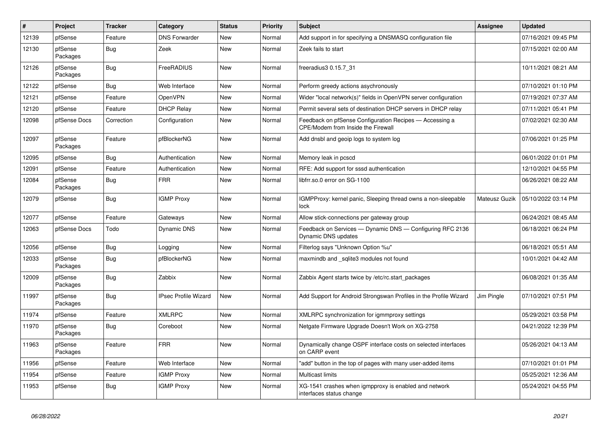| #     | Project             | <b>Tracker</b> | Category                    | <b>Status</b> | <b>Priority</b> | <b>Subject</b>                                                                                       | <b>Assignee</b> | <b>Updated</b>      |
|-------|---------------------|----------------|-----------------------------|---------------|-----------------|------------------------------------------------------------------------------------------------------|-----------------|---------------------|
| 12139 | pfSense             | Feature        | <b>DNS Forwarder</b>        | <b>New</b>    | Normal          | Add support in for specifying a DNSMASQ configuration file                                           |                 | 07/16/2021 09:45 PM |
| 12130 | pfSense<br>Packages | Bug            | Zeek                        | <b>New</b>    | Normal          | Zeek fails to start                                                                                  |                 | 07/15/2021 02:00 AM |
| 12126 | pfSense<br>Packages | <b>Bug</b>     | FreeRADIUS                  | New           | Normal          | freeradius3 0.15.7 31                                                                                |                 | 10/11/2021 08:21 AM |
| 12122 | pfSense             | Bug            | Web Interface               | <b>New</b>    | Normal          | Perform greedy actions asychronously                                                                 |                 | 07/10/2021 01:10 PM |
| 12121 | pfSense             | Feature        | OpenVPN                     | <b>New</b>    | Normal          | Wider "local network(s)" fields in OpenVPN server configuration                                      |                 | 07/19/2021 07:37 AM |
| 12120 | pfSense             | Feature        | <b>DHCP Relay</b>           | New           | Normal          | Permit several sets of destination DHCP servers in DHCP relay                                        |                 | 07/11/2021 05:41 PM |
| 12098 | pfSense Docs        | Correction     | Configuration               | New           | Normal          | Feedback on pfSense Configuration Recipes - Accessing a<br><b>CPE/Modem from Inside the Firewall</b> |                 | 07/02/2021 02:30 AM |
| 12097 | pfSense<br>Packages | Feature        | pfBlockerNG                 | New           | Normal          | Add dnsbl and geoip logs to system log                                                               |                 | 07/06/2021 01:25 PM |
| 12095 | pfSense             | Bug            | Authentication              | <b>New</b>    | Normal          | Memory leak in pcscd                                                                                 |                 | 06/01/2022 01:01 PM |
| 12091 | pfSense             | Feature        | Authentication              | <b>New</b>    | Normal          | RFE: Add support for sssd authentication                                                             |                 | 12/10/2021 04:55 PM |
| 12084 | pfSense<br>Packages | <b>Bug</b>     | <b>FRR</b>                  | <b>New</b>    | Normal          | libfrr.so.0 error on SG-1100                                                                         |                 | 06/26/2021 08:22 AM |
| 12079 | pfSense             | Bug            | <b>IGMP Proxy</b>           | <b>New</b>    | Normal          | IGMPProxy: kernel panic, Sleeping thread owns a non-sleepable<br>lock                                | Mateusz Guzik   | 05/10/2022 03:14 PM |
| 12077 | pfSense             | Feature        | Gateways                    | <b>New</b>    | Normal          | Allow stick-connections per gateway group                                                            |                 | 06/24/2021 08:45 AM |
| 12063 | pfSense Docs        | Todo           | Dynamic DNS                 | <b>New</b>    | Normal          | Feedback on Services - Dynamic DNS - Configuring RFC 2136<br>Dynamic DNS updates                     |                 | 06/18/2021 06:24 PM |
| 12056 | pfSense             | Bug            | Logging                     | <b>New</b>    | Normal          | Filterlog says "Unknown Option %u"                                                                   |                 | 06/18/2021 05:51 AM |
| 12033 | pfSense<br>Packages | Bug            | pfBlockerNG                 | <b>New</b>    | Normal          | maxmindb and sqlite3 modules not found                                                               |                 | 10/01/2021 04:42 AM |
| 12009 | pfSense<br>Packages | <b>Bug</b>     | Zabbix                      | <b>New</b>    | Normal          | Zabbix Agent starts twice by /etc/rc.start_packages                                                  |                 | 06/08/2021 01:35 AM |
| 11997 | pfSense<br>Packages | <b>Bug</b>     | <b>IPsec Profile Wizard</b> | <b>New</b>    | Normal          | Add Support for Android Strongswan Profiles in the Profile Wizard                                    | Jim Pingle      | 07/10/2021 07:51 PM |
| 11974 | pfSense             | Feature        | <b>XMLRPC</b>               | <b>New</b>    | Normal          | XMLRPC synchronization for igmmproxy settings                                                        |                 | 05/29/2021 03:58 PM |
| 11970 | pfSense<br>Packages | Bug            | Coreboot                    | <b>New</b>    | Normal          | Netgate Firmware Upgrade Doesn't Work on XG-2758                                                     |                 | 04/21/2022 12:39 PM |
| 11963 | pfSense<br>Packages | Feature        | <b>FRR</b>                  | <b>New</b>    | Normal          | Dynamically change OSPF interface costs on selected interfaces<br>on CARP event                      |                 | 05/26/2021 04:13 AM |
| 11956 | pfSense             | Feature        | Web Interface               | <b>New</b>    | Normal          | "add" button in the top of pages with many user-added items                                          |                 | 07/10/2021 01:01 PM |
| 11954 | pfSense             | Feature        | <b>IGMP Proxy</b>           | New           | Normal          | <b>Multicast limits</b>                                                                              |                 | 05/25/2021 12:36 AM |
| 11953 | pfSense             | <b>Bug</b>     | <b>IGMP Proxy</b>           | New           | Normal          | XG-1541 crashes when igmpproxy is enabled and network<br>interfaces status change                    |                 | 05/24/2021 04:55 PM |